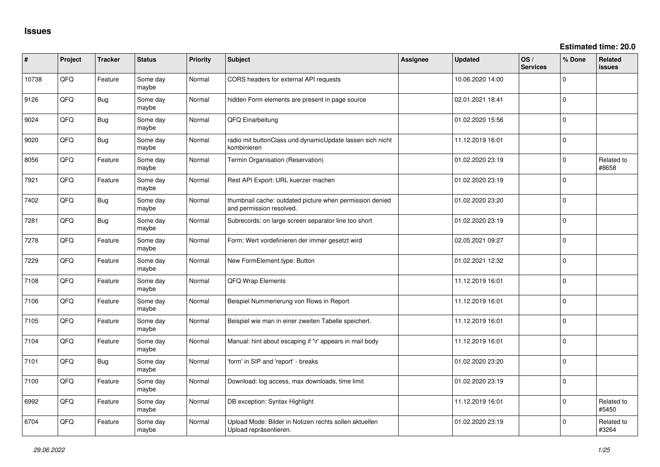**Estimated time: 20.0**

| ∦     | Project | <b>Tracker</b> | <b>Status</b>     | <b>Priority</b> | <b>Subject</b>                                                                       | <b>Assignee</b> | <b>Updated</b>   | OS/<br><b>Services</b> | % Done      | Related<br><b>issues</b> |
|-------|---------|----------------|-------------------|-----------------|--------------------------------------------------------------------------------------|-----------------|------------------|------------------------|-------------|--------------------------|
| 10738 | QFQ     | Feature        | Some day<br>maybe | Normal          | CORS headers for external API requests                                               |                 | 10.06.2020 14:00 |                        | $\Omega$    |                          |
| 9126  | QFQ     | Bug            | Some day<br>maybe | Normal          | hidden Form elements are present in page source                                      |                 | 02.01.2021 18:41 |                        | $\mathbf 0$ |                          |
| 9024  | QFQ     | <b>Bug</b>     | Some day<br>maybe | Normal          | QFQ Einarbeitung                                                                     |                 | 01.02.2020 15:56 |                        | $\mathbf 0$ |                          |
| 9020  | QFQ     | Bug            | Some day<br>maybe | Normal          | radio mit buttonClass und dynamicUpdate lassen sich nicht<br>kombinieren             |                 | 11.12.2019 16:01 |                        | $\Omega$    |                          |
| 8056  | QFQ     | Feature        | Some day<br>maybe | Normal          | Termin Organisation (Reservation)                                                    |                 | 01.02.2020 23:19 |                        | $\mathbf 0$ | Related to<br>#8658      |
| 7921  | QFQ     | Feature        | Some day<br>maybe | Normal          | Rest API Export: URL kuerzer machen                                                  |                 | 01.02.2020 23:19 |                        | $\mathbf 0$ |                          |
| 7402  | QFQ     | Bug            | Some day<br>maybe | Normal          | thumbnail cache: outdated picture when permission denied<br>and permission resolved. |                 | 01.02.2020 23:20 |                        | $\mathbf 0$ |                          |
| 7281  | QFQ     | Bug            | Some day<br>maybe | Normal          | Subrecords: on large screen separator line too short                                 |                 | 01.02.2020 23:19 |                        | $\mathbf 0$ |                          |
| 7278  | QFQ     | Feature        | Some day<br>maybe | Normal          | Form: Wert vordefinieren der immer gesetzt wird                                      |                 | 02.05.2021 09:27 |                        | $\mathbf 0$ |                          |
| 7229  | QFQ     | Feature        | Some day<br>maybe | Normal          | New FormElement.type: Button                                                         |                 | 01.02.2021 12:32 |                        | $\Omega$    |                          |
| 7108  | QFQ     | Feature        | Some day<br>maybe | Normal          | QFQ Wrap Elements                                                                    |                 | 11.12.2019 16:01 |                        | $\mathbf 0$ |                          |
| 7106  | QFQ     | Feature        | Some day<br>maybe | Normal          | Beispiel Nummerierung von Rows in Report                                             |                 | 11.12.2019 16:01 |                        | $\Omega$    |                          |
| 7105  | QFQ     | Feature        | Some day<br>maybe | Normal          | Beispiel wie man in einer zweiten Tabelle speichert.                                 |                 | 11.12.2019 16:01 |                        | $\Omega$    |                          |
| 7104  | QFQ     | Feature        | Some day<br>maybe | Normal          | Manual: hint about escaping if '\r' appears in mail body                             |                 | 11.12.2019 16:01 |                        | $\Omega$    |                          |
| 7101  | QFQ     | <b>Bug</b>     | Some day<br>maybe | Normal          | 'form' in SIP and 'report' - breaks                                                  |                 | 01.02.2020 23:20 |                        | $\Omega$    |                          |
| 7100  | QFQ     | Feature        | Some day<br>maybe | Normal          | Download: log access, max downloads, time limit                                      |                 | 01.02.2020 23:19 |                        | $\mathbf 0$ |                          |
| 6992  | QFQ     | Feature        | Some day<br>maybe | Normal          | DB exception: Syntax Highlight                                                       |                 | 11.12.2019 16:01 |                        | $\mathbf 0$ | Related to<br>#5450      |
| 6704  | QFQ     | Feature        | Some day<br>maybe | Normal          | Upload Mode: Bilder in Notizen rechts sollen aktuellen<br>Upload repräsentieren.     |                 | 01.02.2020 23:19 |                        | $\Omega$    | Related to<br>#3264      |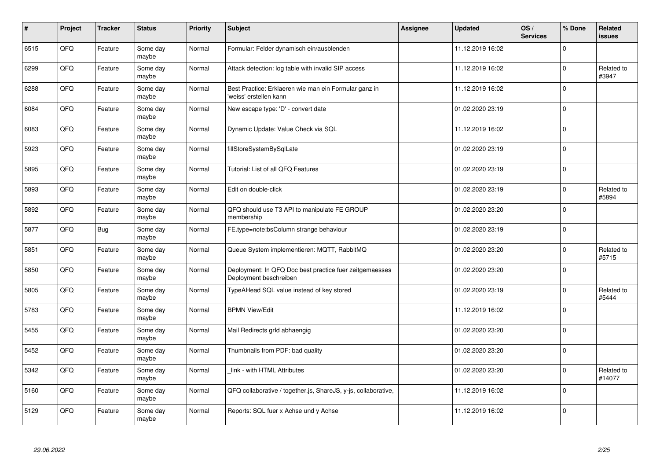| #    | Project | <b>Tracker</b> | <b>Status</b>     | Priority | <b>Subject</b>                                                                    | Assignee | <b>Updated</b>   | OS/<br><b>Services</b> | % Done      | Related<br><b>issues</b> |
|------|---------|----------------|-------------------|----------|-----------------------------------------------------------------------------------|----------|------------------|------------------------|-------------|--------------------------|
| 6515 | QFQ     | Feature        | Some day<br>maybe | Normal   | Formular: Felder dynamisch ein/ausblenden                                         |          | 11.12.2019 16:02 |                        | $\Omega$    |                          |
| 6299 | QFQ     | Feature        | Some day<br>maybe | Normal   | Attack detection: log table with invalid SIP access                               |          | 11.12.2019 16:02 |                        | $\Omega$    | Related to<br>#3947      |
| 6288 | QFQ     | Feature        | Some day<br>maybe | Normal   | Best Practice: Erklaeren wie man ein Formular ganz in<br>weiss' erstellen kann    |          | 11.12.2019 16:02 |                        | $\Omega$    |                          |
| 6084 | QFQ     | Feature        | Some day<br>maybe | Normal   | New escape type: 'D' - convert date                                               |          | 01.02.2020 23:19 |                        | $\Omega$    |                          |
| 6083 | QFQ     | Feature        | Some day<br>maybe | Normal   | Dynamic Update: Value Check via SQL                                               |          | 11.12.2019 16:02 |                        | $\Omega$    |                          |
| 5923 | QFQ     | Feature        | Some day<br>maybe | Normal   | fillStoreSystemBySqlLate                                                          |          | 01.02.2020 23:19 |                        | $\Omega$    |                          |
| 5895 | QFQ     | Feature        | Some day<br>maybe | Normal   | Tutorial: List of all QFQ Features                                                |          | 01.02.2020 23:19 |                        | $\mathbf 0$ |                          |
| 5893 | QFQ     | Feature        | Some day<br>maybe | Normal   | Edit on double-click                                                              |          | 01.02.2020 23:19 |                        | $\Omega$    | Related to<br>#5894      |
| 5892 | QFQ     | Feature        | Some day<br>maybe | Normal   | QFQ should use T3 API to manipulate FE GROUP<br>membership                        |          | 01.02.2020 23:20 |                        | $\Omega$    |                          |
| 5877 | QFQ     | <b>Bug</b>     | Some day<br>maybe | Normal   | FE.type=note:bsColumn strange behaviour                                           |          | 01.02.2020 23:19 |                        | $\mathbf 0$ |                          |
| 5851 | QFQ     | Feature        | Some day<br>maybe | Normal   | Queue System implementieren: MQTT, RabbitMQ                                       |          | 01.02.2020 23:20 |                        | $\Omega$    | Related to<br>#5715      |
| 5850 | QFQ     | Feature        | Some day<br>maybe | Normal   | Deployment: In QFQ Doc best practice fuer zeitgemaesses<br>Deployment beschreiben |          | 01.02.2020 23:20 |                        | $\Omega$    |                          |
| 5805 | QFQ     | Feature        | Some day<br>maybe | Normal   | TypeAHead SQL value instead of key stored                                         |          | 01.02.2020 23:19 |                        | $\mathbf 0$ | Related to<br>#5444      |
| 5783 | QFQ     | Feature        | Some day<br>maybe | Normal   | <b>BPMN View/Edit</b>                                                             |          | 11.12.2019 16:02 |                        | $\mathbf 0$ |                          |
| 5455 | QFQ     | Feature        | Some day<br>maybe | Normal   | Mail Redirects grld abhaengig                                                     |          | 01.02.2020 23:20 |                        | $\Omega$    |                          |
| 5452 | QFQ     | Feature        | Some day<br>maybe | Normal   | Thumbnails from PDF: bad quality                                                  |          | 01.02.2020 23:20 |                        | $\Omega$    |                          |
| 5342 | QFQ     | Feature        | Some day<br>maybe | Normal   | link - with HTML Attributes                                                       |          | 01.02.2020 23:20 |                        | $\Omega$    | Related to<br>#14077     |
| 5160 | QFQ     | Feature        | Some day<br>maybe | Normal   | QFQ collaborative / together.js, ShareJS, y-js, collaborative,                    |          | 11.12.2019 16:02 |                        | $\Omega$    |                          |
| 5129 | QFQ     | Feature        | Some day<br>maybe | Normal   | Reports: SQL fuer x Achse und y Achse                                             |          | 11.12.2019 16:02 |                        | $\Omega$    |                          |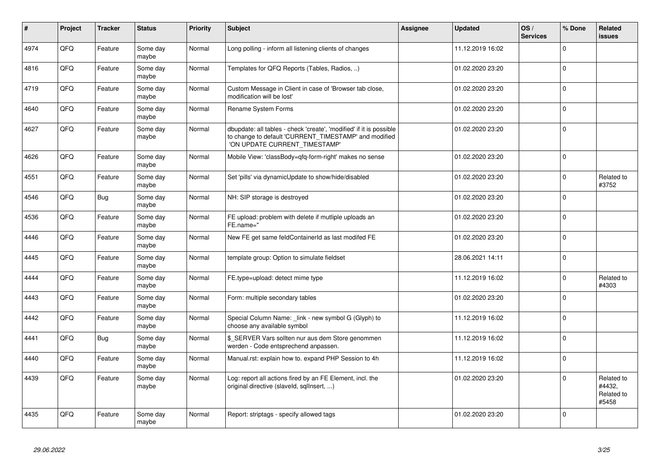| $\vert$ # | Project | <b>Tracker</b> | <b>Status</b>     | Priority | <b>Subject</b>                                                                                                                                                | Assignee | <b>Updated</b>   | OS/<br><b>Services</b> | % Done      | Related<br><b>issues</b>                    |
|-----------|---------|----------------|-------------------|----------|---------------------------------------------------------------------------------------------------------------------------------------------------------------|----------|------------------|------------------------|-------------|---------------------------------------------|
| 4974      | QFQ     | Feature        | Some day<br>maybe | Normal   | Long polling - inform all listening clients of changes                                                                                                        |          | 11.12.2019 16:02 |                        | $\mathbf 0$ |                                             |
| 4816      | QFQ     | Feature        | Some day<br>maybe | Normal   | Templates for QFQ Reports (Tables, Radios, )                                                                                                                  |          | 01.02.2020 23:20 |                        | $\mathbf 0$ |                                             |
| 4719      | QFQ     | Feature        | Some day<br>maybe | Normal   | Custom Message in Client in case of 'Browser tab close,<br>modification will be lost'                                                                         |          | 01.02.2020 23:20 |                        | $\mathbf 0$ |                                             |
| 4640      | QFQ     | Feature        | Some day<br>maybe | Normal   | Rename System Forms                                                                                                                                           |          | 01.02.2020 23:20 |                        | $\mathbf 0$ |                                             |
| 4627      | QFQ     | Feature        | Some day<br>maybe | Normal   | dbupdate: all tables - check 'create', 'modified' if it is possible<br>to change to default 'CURRENT_TIMESTAMP' and modified<br>'ON UPDATE CURRENT TIMESTAMP' |          | 01.02.2020 23:20 |                        | $\Omega$    |                                             |
| 4626      | QFQ     | Feature        | Some day<br>maybe | Normal   | Mobile View: 'classBody=qfq-form-right' makes no sense                                                                                                        |          | 01.02.2020 23:20 |                        | $\Omega$    |                                             |
| 4551      | QFQ     | Feature        | Some day<br>maybe | Normal   | Set 'pills' via dynamicUpdate to show/hide/disabled                                                                                                           |          | 01.02.2020 23:20 |                        | $\mathbf 0$ | Related to<br>#3752                         |
| 4546      | QFQ     | <b>Bug</b>     | Some day<br>maybe | Normal   | NH: SIP storage is destroyed                                                                                                                                  |          | 01.02.2020 23:20 |                        | $\mathbf 0$ |                                             |
| 4536      | QFQ     | Feature        | Some day<br>maybe | Normal   | FE upload: problem with delete if mutliple uploads an<br>FE.name="                                                                                            |          | 01.02.2020 23:20 |                        | $\mathbf 0$ |                                             |
| 4446      | QFQ     | Feature        | Some day<br>maybe | Normal   | New FE get same feldContainerId as last modifed FE                                                                                                            |          | 01.02.2020 23:20 |                        | $\mathbf 0$ |                                             |
| 4445      | QFQ     | Feature        | Some day<br>maybe | Normal   | template group: Option to simulate fieldset                                                                                                                   |          | 28.06.2021 14:11 |                        | $\mathbf 0$ |                                             |
| 4444      | QFQ     | Feature        | Some day<br>maybe | Normal   | FE.type=upload: detect mime type                                                                                                                              |          | 11.12.2019 16:02 |                        | $\Omega$    | Related to<br>#4303                         |
| 4443      | QFQ     | Feature        | Some day<br>maybe | Normal   | Form: multiple secondary tables                                                                                                                               |          | 01.02.2020 23:20 |                        | $\Omega$    |                                             |
| 4442      | QFQ     | Feature        | Some day<br>maybe | Normal   | Special Column Name: _link - new symbol G (Glyph) to<br>choose any available symbol                                                                           |          | 11.12.2019 16:02 |                        | $\mathbf 0$ |                                             |
| 4441      | QFQ     | <b>Bug</b>     | Some day<br>maybe | Normal   | \$_SERVER Vars sollten nur aus dem Store genommen<br>werden - Code entsprechend anpassen.                                                                     |          | 11.12.2019 16:02 |                        | $\Omega$    |                                             |
| 4440      | QFQ     | Feature        | Some day<br>maybe | Normal   | Manual.rst: explain how to. expand PHP Session to 4h                                                                                                          |          | 11.12.2019 16:02 |                        | $\Omega$    |                                             |
| 4439      | QFQ     | Feature        | Some day<br>maybe | Normal   | Log: report all actions fired by an FE Element, incl. the<br>original directive (slaveld, sqllnsert, )                                                        |          | 01.02.2020 23:20 |                        | $\Omega$    | Related to<br>#4432,<br>Related to<br>#5458 |
| 4435      | QFQ     | Feature        | Some day<br>maybe | Normal   | Report: striptags - specify allowed tags                                                                                                                      |          | 01.02.2020 23:20 |                        | 0           |                                             |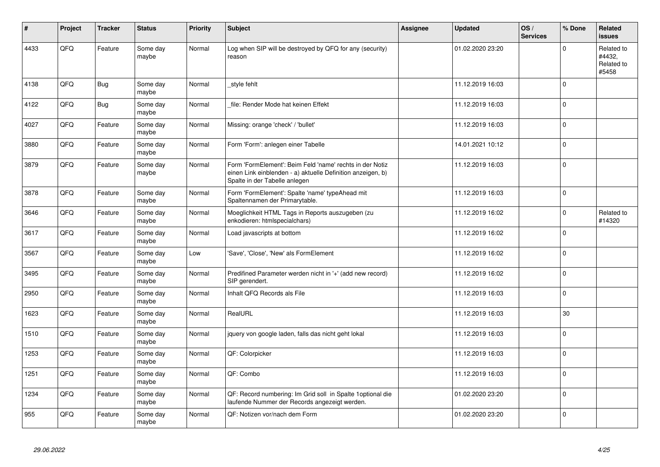| $\vert$ # | Project | <b>Tracker</b> | <b>Status</b>     | Priority | <b>Subject</b>                                                                                                                                           | Assignee | <b>Updated</b>   | OS/<br><b>Services</b> | % Done      | Related<br><b>issues</b>                    |
|-----------|---------|----------------|-------------------|----------|----------------------------------------------------------------------------------------------------------------------------------------------------------|----------|------------------|------------------------|-------------|---------------------------------------------|
| 4433      | QFQ     | Feature        | Some day<br>maybe | Normal   | Log when SIP will be destroyed by QFQ for any (security)<br>reason                                                                                       |          | 01.02.2020 23:20 |                        | $\Omega$    | Related to<br>#4432.<br>Related to<br>#5458 |
| 4138      | QFQ     | <b>Bug</b>     | Some day<br>maybe | Normal   | style fehlt                                                                                                                                              |          | 11.12.2019 16:03 |                        | $\Omega$    |                                             |
| 4122      | QFQ     | <b>Bug</b>     | Some day<br>maybe | Normal   | file: Render Mode hat keinen Effekt                                                                                                                      |          | 11.12.2019 16:03 |                        | $\Omega$    |                                             |
| 4027      | QFQ     | Feature        | Some day<br>maybe | Normal   | Missing: orange 'check' / 'bullet'                                                                                                                       |          | 11.12.2019 16:03 |                        | $\Omega$    |                                             |
| 3880      | QFQ     | Feature        | Some day<br>maybe | Normal   | Form 'Form': anlegen einer Tabelle                                                                                                                       |          | 14.01.2021 10:12 |                        | $\mathbf 0$ |                                             |
| 3879      | QFQ     | Feature        | Some day<br>maybe | Normal   | Form 'FormElement': Beim Feld 'name' rechts in der Notiz<br>einen Link einblenden - a) aktuelle Definition anzeigen, b)<br>Spalte in der Tabelle anlegen |          | 11.12.2019 16:03 |                        | $\mathbf 0$ |                                             |
| 3878      | QFQ     | Feature        | Some day<br>maybe | Normal   | Form 'FormElement': Spalte 'name' typeAhead mit<br>Spaltennamen der Primarytable.                                                                        |          | 11.12.2019 16:03 |                        | $\Omega$    |                                             |
| 3646      | QFQ     | Feature        | Some day<br>maybe | Normal   | Moeglichkeit HTML Tags in Reports auszugeben (zu<br>enkodieren: htmlspecialchars)                                                                        |          | 11.12.2019 16:02 |                        | $\Omega$    | Related to<br>#14320                        |
| 3617      | QFQ     | Feature        | Some day<br>maybe | Normal   | Load javascripts at bottom                                                                                                                               |          | 11.12.2019 16:02 |                        | $\mathbf 0$ |                                             |
| 3567      | QFQ     | Feature        | Some day<br>maybe | Low      | 'Save', 'Close', 'New' als FormElement                                                                                                                   |          | 11.12.2019 16:02 |                        | $\mathbf 0$ |                                             |
| 3495      | QFQ     | Feature        | Some day<br>maybe | Normal   | Predifined Parameter werden nicht in '+' (add new record)<br>SIP gerendert.                                                                              |          | 11.12.2019 16:02 |                        | $\mathbf 0$ |                                             |
| 2950      | QFQ     | Feature        | Some day<br>maybe | Normal   | Inhalt QFQ Records als File                                                                                                                              |          | 11.12.2019 16:03 |                        | $\Omega$    |                                             |
| 1623      | QFQ     | Feature        | Some day<br>maybe | Normal   | RealURL                                                                                                                                                  |          | 11.12.2019 16:03 |                        | 30          |                                             |
| 1510      | QFQ     | Feature        | Some day<br>maybe | Normal   | jquery von google laden, falls das nicht geht lokal                                                                                                      |          | 11.12.2019 16:03 |                        | $\Omega$    |                                             |
| 1253      | QFQ     | Feature        | Some day<br>maybe | Normal   | QF: Colorpicker                                                                                                                                          |          | 11.12.2019 16:03 |                        | $\Omega$    |                                             |
| 1251      | QFQ     | Feature        | Some day<br>maybe | Normal   | QF: Combo                                                                                                                                                |          | 11.12.2019 16:03 |                        | $\mathbf 0$ |                                             |
| 1234      | QFQ     | Feature        | Some day<br>maybe | Normal   | QF: Record numbering: Im Grid soll in Spalte 1 optional die<br>laufende Nummer der Records angezeigt werden.                                             |          | 01.02.2020 23:20 |                        | $\mathbf 0$ |                                             |
| 955       | QFQ     | Feature        | Some day<br>maybe | Normal   | QF: Notizen vor/nach dem Form                                                                                                                            |          | 01.02.2020 23:20 |                        | $\Omega$    |                                             |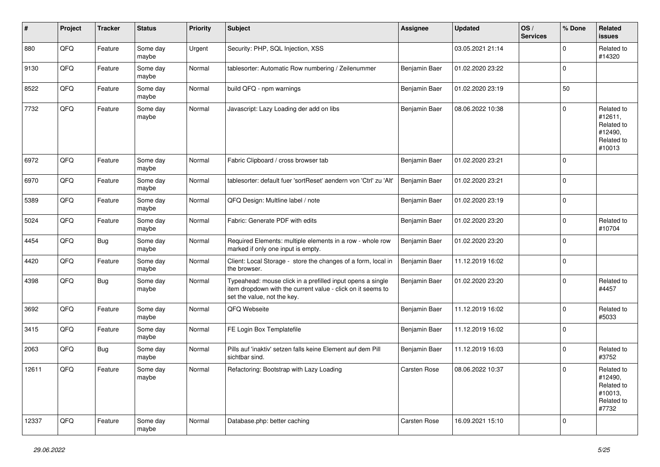| $\sharp$ | Project | <b>Tracker</b> | <b>Status</b>     | <b>Priority</b> | Subject                                                                                                                                                  | Assignee      | <b>Updated</b>   | OS/<br><b>Services</b> | % Done      | Related<br><b>issues</b>                                               |
|----------|---------|----------------|-------------------|-----------------|----------------------------------------------------------------------------------------------------------------------------------------------------------|---------------|------------------|------------------------|-------------|------------------------------------------------------------------------|
| 880      | QFQ     | Feature        | Some day<br>maybe | Urgent          | Security: PHP, SQL Injection, XSS                                                                                                                        |               | 03.05.2021 21:14 |                        | $\mathbf 0$ | Related to<br>#14320                                                   |
| 9130     | QFQ     | Feature        | Some day<br>maybe | Normal          | tablesorter: Automatic Row numbering / Zeilenummer                                                                                                       | Benjamin Baer | 01.02.2020 23:22 |                        | $\mathbf 0$ |                                                                        |
| 8522     | QFQ     | Feature        | Some day<br>maybe | Normal          | build QFQ - npm warnings                                                                                                                                 | Benjamin Baer | 01.02.2020 23:19 |                        | 50          |                                                                        |
| 7732     | QFQ     | Feature        | Some day<br>maybe | Normal          | Javascript: Lazy Loading der add on libs                                                                                                                 | Benjamin Baer | 08.06.2022 10:38 |                        | $\mathbf 0$ | Related to<br>#12611,<br>Related to<br>#12490,<br>Related to<br>#10013 |
| 6972     | QFQ     | Feature        | Some day<br>maybe | Normal          | Fabric Clipboard / cross browser tab                                                                                                                     | Benjamin Baer | 01.02.2020 23:21 |                        | $\mathbf 0$ |                                                                        |
| 6970     | QFQ     | Feature        | Some day<br>maybe | Normal          | tablesorter: default fuer 'sortReset' aendern von 'Ctrl' zu 'Alt'                                                                                        | Benjamin Baer | 01.02.2020 23:21 |                        | $\mathbf 0$ |                                                                        |
| 5389     | QFQ     | Feature        | Some day<br>maybe | Normal          | QFQ Design: Multline label / note                                                                                                                        | Benjamin Baer | 01.02.2020 23:19 |                        | $\mathbf 0$ |                                                                        |
| 5024     | QFQ     | Feature        | Some day<br>maybe | Normal          | Fabric: Generate PDF with edits                                                                                                                          | Benjamin Baer | 01.02.2020 23:20 |                        | $\mathbf 0$ | Related to<br>#10704                                                   |
| 4454     | QFQ     | <b>Bug</b>     | Some day<br>maybe | Normal          | Required Elements: multiple elements in a row - whole row<br>marked if only one input is empty.                                                          | Benjamin Baer | 01.02.2020 23:20 |                        | $\mathbf 0$ |                                                                        |
| 4420     | QFQ     | Feature        | Some day<br>maybe | Normal          | Client: Local Storage - store the changes of a form, local in<br>the browser.                                                                            | Benjamin Baer | 11.12.2019 16:02 |                        | $\mathbf 0$ |                                                                        |
| 4398     | QFQ     | <b>Bug</b>     | Some day<br>maybe | Normal          | Typeahead: mouse click in a prefilled input opens a single<br>item dropdown with the current value - click on it seems to<br>set the value, not the key. | Benjamin Baer | 01.02.2020 23:20 |                        | $\mathbf 0$ | Related to<br>#4457                                                    |
| 3692     | QFQ     | Feature        | Some day<br>maybe | Normal          | QFQ Webseite                                                                                                                                             | Benjamin Baer | 11.12.2019 16:02 |                        | $\mathbf 0$ | Related to<br>#5033                                                    |
| 3415     | QFQ     | Feature        | Some day<br>maybe | Normal          | FE Login Box Templatefile                                                                                                                                | Benjamin Baer | 11.12.2019 16:02 |                        | $\mathbf 0$ |                                                                        |
| 2063     | QFQ     | Bug            | Some day<br>maybe | Normal          | Pills auf 'inaktiv' setzen falls keine Element auf dem Pill<br>sichtbar sind.                                                                            | Benjamin Baer | 11.12.2019 16:03 |                        | $\mathbf 0$ | Related to<br>#3752                                                    |
| 12611    | QFQ     | Feature        | Some day<br>maybe | Normal          | Refactoring: Bootstrap with Lazy Loading                                                                                                                 | Carsten Rose  | 08.06.2022 10:37 |                        | $\mathbf 0$ | Related to<br>#12490,<br>Related to<br>#10013,<br>Related to<br>#7732  |
| 12337    | QFQ     | Feature        | Some day<br>maybe | Normal          | Database.php: better caching                                                                                                                             | Carsten Rose  | 16.09.2021 15:10 |                        | $\mathbf 0$ |                                                                        |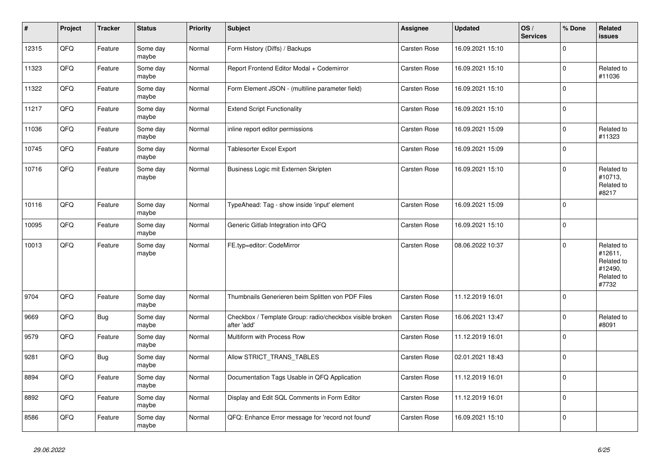| #     | Project | <b>Tracker</b> | <b>Status</b>     | <b>Priority</b> | <b>Subject</b>                                                          | <b>Assignee</b>     | <b>Updated</b>   | OS/<br><b>Services</b> | % Done       | Related<br>issues                                                     |
|-------|---------|----------------|-------------------|-----------------|-------------------------------------------------------------------------|---------------------|------------------|------------------------|--------------|-----------------------------------------------------------------------|
| 12315 | QFQ     | Feature        | Some day<br>maybe | Normal          | Form History (Diffs) / Backups                                          | Carsten Rose        | 16.09.2021 15:10 |                        | $\Omega$     |                                                                       |
| 11323 | QFQ     | Feature        | Some dav<br>maybe | Normal          | Report Frontend Editor Modal + Codemirror                               | Carsten Rose        | 16.09.2021 15:10 |                        | $\Omega$     | Related to<br>#11036                                                  |
| 11322 | QFQ     | Feature        | Some day<br>maybe | Normal          | Form Element JSON - (multiline parameter field)                         | Carsten Rose        | 16.09.2021 15:10 |                        | $\Omega$     |                                                                       |
| 11217 | QFQ     | Feature        | Some day<br>maybe | Normal          | <b>Extend Script Functionality</b>                                      | Carsten Rose        | 16.09.2021 15:10 |                        | $\Omega$     |                                                                       |
| 11036 | QFQ     | Feature        | Some day<br>maybe | Normal          | inline report editor permissions                                        | Carsten Rose        | 16.09.2021 15:09 |                        | $\mathbf 0$  | Related to<br>#11323                                                  |
| 10745 | QFQ     | Feature        | Some day<br>maybe | Normal          | <b>Tablesorter Excel Export</b>                                         | <b>Carsten Rose</b> | 16.09.2021 15:09 |                        | $\mathbf{0}$ |                                                                       |
| 10716 | QFQ     | Feature        | Some day<br>maybe | Normal          | Business Logic mit Externen Skripten                                    | <b>Carsten Rose</b> | 16.09.2021 15:10 |                        | $\Omega$     | Related to<br>#10713,<br>Related to<br>#8217                          |
| 10116 | QFQ     | Feature        | Some day<br>maybe | Normal          | TypeAhead: Tag - show inside 'input' element                            | <b>Carsten Rose</b> | 16.09.2021 15:09 |                        | $\Omega$     |                                                                       |
| 10095 | QFQ     | Feature        | Some day<br>maybe | Normal          | Generic Gitlab Integration into QFQ                                     | Carsten Rose        | 16.09.2021 15:10 |                        | $\Omega$     |                                                                       |
| 10013 | QFQ     | Feature        | Some day<br>maybe | Normal          | FE.typ=editor: CodeMirror                                               | <b>Carsten Rose</b> | 08.06.2022 10:37 |                        | $\Omega$     | Related to<br>#12611,<br>Related to<br>#12490,<br>Related to<br>#7732 |
| 9704  | QFQ     | Feature        | Some day<br>maybe | Normal          | Thumbnails Generieren beim Splitten von PDF Files                       | <b>Carsten Rose</b> | 11.12.2019 16:01 |                        | $\mathbf 0$  |                                                                       |
| 9669  | QFQ     | <b>Bug</b>     | Some day<br>maybe | Normal          | Checkbox / Template Group: radio/checkbox visible broken<br>after 'add' | Carsten Rose        | 16.06.2021 13:47 |                        | $\Omega$     | Related to<br>#8091                                                   |
| 9579  | QFQ     | Feature        | Some day<br>maybe | Normal          | Multiform with Process Row                                              | <b>Carsten Rose</b> | 11.12.2019 16:01 |                        | $\mathbf 0$  |                                                                       |
| 9281  | QFQ     | <b>Bug</b>     | Some day<br>maybe | Normal          | Allow STRICT_TRANS_TABLES                                               | <b>Carsten Rose</b> | 02.01.2021 18:43 |                        | 0            |                                                                       |
| 8894  | QFQ     | Feature        | Some day<br>maybe | Normal          | Documentation Tags Usable in QFQ Application                            | Carsten Rose        | 11.12.2019 16:01 |                        | $\Omega$     |                                                                       |
| 8892  | QFQ     | Feature        | Some day<br>maybe | Normal          | Display and Edit SQL Comments in Form Editor                            | Carsten Rose        | 11.12.2019 16:01 |                        | $\Omega$     |                                                                       |
| 8586  | QFQ     | Feature        | Some day<br>maybe | Normal          | QFQ: Enhance Error message for 'record not found'                       | <b>Carsten Rose</b> | 16.09.2021 15:10 |                        | $\Omega$     |                                                                       |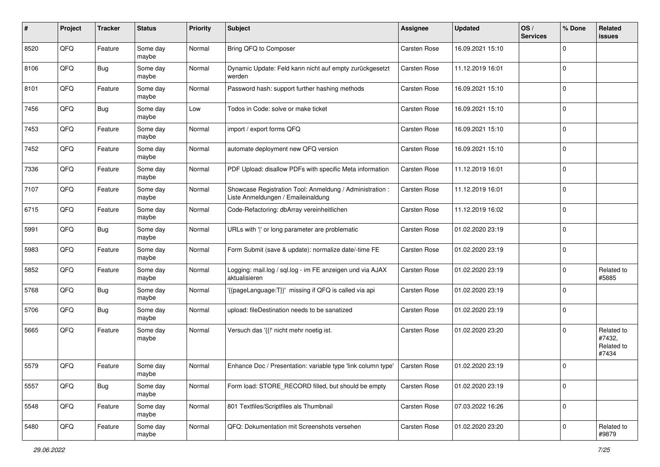| ∦    | Project | <b>Tracker</b> | <b>Status</b>     | <b>Priority</b> | <b>Subject</b>                                                                                 | Assignee            | <b>Updated</b>   | OS/<br><b>Services</b> | % Done      | Related<br>issues                           |
|------|---------|----------------|-------------------|-----------------|------------------------------------------------------------------------------------------------|---------------------|------------------|------------------------|-------------|---------------------------------------------|
| 8520 | QFQ     | Feature        | Some day<br>maybe | Normal          | Bring QFQ to Composer                                                                          | Carsten Rose        | 16.09.2021 15:10 |                        | $\mathbf 0$ |                                             |
| 8106 | QFQ     | <b>Bug</b>     | Some day<br>maybe | Normal          | Dynamic Update: Feld kann nicht auf empty zurückgesetzt<br>werden                              | <b>Carsten Rose</b> | 11.12.2019 16:01 |                        | $\mathbf 0$ |                                             |
| 8101 | QFQ     | Feature        | Some day<br>maybe | Normal          | Password hash: support further hashing methods                                                 | Carsten Rose        | 16.09.2021 15:10 |                        | $\mathbf 0$ |                                             |
| 7456 | QFQ     | <b>Bug</b>     | Some day<br>maybe | Low             | Todos in Code: solve or make ticket                                                            | Carsten Rose        | 16.09.2021 15:10 |                        | $\mathbf 0$ |                                             |
| 7453 | QFQ     | Feature        | Some day<br>maybe | Normal          | import / export forms QFQ                                                                      | <b>Carsten Rose</b> | 16.09.2021 15:10 |                        | $\mathbf 0$ |                                             |
| 7452 | QFQ     | Feature        | Some day<br>maybe | Normal          | automate deployment new QFQ version                                                            | Carsten Rose        | 16.09.2021 15:10 |                        | $\mathbf 0$ |                                             |
| 7336 | QFQ     | Feature        | Some day<br>maybe | Normal          | PDF Upload: disallow PDFs with specific Meta information                                       | Carsten Rose        | 11.12.2019 16:01 |                        | $\mathbf 0$ |                                             |
| 7107 | QFQ     | Feature        | Some day<br>maybe | Normal          | Showcase Registration Tool: Anmeldung / Administration :<br>Liste Anmeldungen / Emaileinaldung | <b>Carsten Rose</b> | 11.12.2019 16:01 |                        | 0           |                                             |
| 6715 | QFQ     | Feature        | Some day<br>maybe | Normal          | Code-Refactoring: dbArray vereinheitlichen                                                     | <b>Carsten Rose</b> | 11.12.2019 16:02 |                        | $\mathbf 0$ |                                             |
| 5991 | QFQ     | <b>Bug</b>     | Some day<br>maybe | Normal          | URLs with ' ' or long parameter are problematic                                                | Carsten Rose        | 01.02.2020 23:19 |                        | $\mathbf 0$ |                                             |
| 5983 | QFQ     | Feature        | Some day<br>maybe | Normal          | Form Submit (save & update): normalize date/-time FE                                           | Carsten Rose        | 01.02.2020 23:19 |                        | $\mathbf 0$ |                                             |
| 5852 | QFQ     | Feature        | Some day<br>maybe | Normal          | Logging: mail.log / sql.log - im FE anzeigen und via AJAX<br>aktualisieren                     | <b>Carsten Rose</b> | 01.02.2020 23:19 |                        | $\mathbf 0$ | Related to<br>#5885                         |
| 5768 | QFQ     | Bug            | Some day<br>maybe | Normal          | '{{pageLanguage:T}}' missing if QFQ is called via api                                          | <b>Carsten Rose</b> | 01.02.2020 23:19 |                        | $\Omega$    |                                             |
| 5706 | QFQ     | <b>Bug</b>     | Some day<br>maybe | Normal          | upload: fileDestination needs to be sanatized                                                  | Carsten Rose        | 01.02.2020 23:19 |                        | $\mathbf 0$ |                                             |
| 5665 | QFQ     | Feature        | Some day<br>maybe | Normal          | Versuch das '{{!' nicht mehr noetig ist.                                                       | <b>Carsten Rose</b> | 01.02.2020 23:20 |                        | $\mathbf 0$ | Related to<br>#7432,<br>Related to<br>#7434 |
| 5579 | QFQ     | Feature        | Some day<br>maybe | Normal          | Enhance Doc / Presentation: variable type 'link column type'                                   | <b>Carsten Rose</b> | 01.02.2020 23:19 |                        | $\Omega$    |                                             |
| 5557 | QFQ     | Bug            | Some day<br>maybe | Normal          | Form load: STORE_RECORD filled, but should be empty                                            | Carsten Rose        | 01.02.2020 23:19 |                        | $\mathbf 0$ |                                             |
| 5548 | QFQ     | Feature        | Some day<br>maybe | Normal          | 801 Textfiles/Scriptfiles als Thumbnail                                                        | Carsten Rose        | 07.03.2022 16:26 |                        | $\mathbf 0$ |                                             |
| 5480 | QFQ     | Feature        | Some day<br>maybe | Normal          | QFQ: Dokumentation mit Screenshots versehen                                                    | Carsten Rose        | 01.02.2020 23:20 |                        | 0           | Related to<br>#9879                         |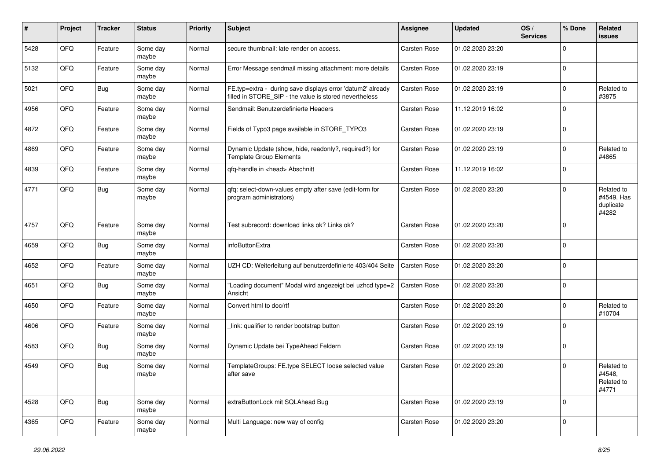| #    | Project | <b>Tracker</b> | <b>Status</b>     | <b>Priority</b> | <b>Subject</b>                                                                                                       | <b>Assignee</b>     | <b>Updated</b>   | OS/<br><b>Services</b> | % Done       | Related<br>issues                              |
|------|---------|----------------|-------------------|-----------------|----------------------------------------------------------------------------------------------------------------------|---------------------|------------------|------------------------|--------------|------------------------------------------------|
| 5428 | QFQ     | Feature        | Some day<br>maybe | Normal          | secure thumbnail: late render on access.                                                                             | <b>Carsten Rose</b> | 01.02.2020 23:20 |                        | $\Omega$     |                                                |
| 5132 | QFQ     | Feature        | Some day<br>maybe | Normal          | Error Message sendmail missing attachment: more details                                                              | <b>Carsten Rose</b> | 01.02.2020 23:19 |                        | $\mathbf 0$  |                                                |
| 5021 | QFQ     | <b>Bug</b>     | Some day<br>maybe | Normal          | FE.typ=extra - during save displays error 'datum2' already<br>filled in STORE_SIP - the value is stored nevertheless | <b>Carsten Rose</b> | 01.02.2020 23:19 |                        | $\Omega$     | Related to<br>#3875                            |
| 4956 | QFQ     | Feature        | Some day<br>maybe | Normal          | Sendmail: Benutzerdefinierte Headers                                                                                 | <b>Carsten Rose</b> | 11.12.2019 16:02 |                        | $\mathbf 0$  |                                                |
| 4872 | QFQ     | Feature        | Some day<br>maybe | Normal          | Fields of Typo3 page available in STORE_TYPO3                                                                        | <b>Carsten Rose</b> | 01.02.2020 23:19 |                        | $\mathbf 0$  |                                                |
| 4869 | QFQ     | Feature        | Some day<br>maybe | Normal          | Dynamic Update (show, hide, readonly?, required?) for<br><b>Template Group Elements</b>                              | Carsten Rose        | 01.02.2020 23:19 |                        | $\mathbf{0}$ | Related to<br>#4865                            |
| 4839 | QFQ     | Feature        | Some day<br>maybe | Normal          | qfq-handle in <head> Abschnitt</head>                                                                                | Carsten Rose        | 11.12.2019 16:02 |                        | $\mathbf{0}$ |                                                |
| 4771 | QFQ     | Bug            | Some day<br>maybe | Normal          | qfq: select-down-values empty after save (edit-form for<br>program administrators)                                   | <b>Carsten Rose</b> | 01.02.2020 23:20 |                        | $\Omega$     | Related to<br>#4549, Has<br>duplicate<br>#4282 |
| 4757 | QFQ     | Feature        | Some day<br>maybe | Normal          | Test subrecord: download links ok? Links ok?                                                                         | <b>Carsten Rose</b> | 01.02.2020 23:20 |                        | $\Omega$     |                                                |
| 4659 | QFQ     | Bug            | Some day<br>maybe | Normal          | infoButtonExtra                                                                                                      | <b>Carsten Rose</b> | 01.02.2020 23:20 |                        | $\mathbf 0$  |                                                |
| 4652 | QFQ     | Feature        | Some day<br>maybe | Normal          | UZH CD: Weiterleitung auf benutzerdefinierte 403/404 Seite                                                           | <b>Carsten Rose</b> | 01.02.2020 23:20 |                        | l 0          |                                                |
| 4651 | QFQ     | <b>Bug</b>     | Some day<br>maybe | Normal          | "Loading document" Modal wird angezeigt bei uzhcd type=2<br>Ansicht                                                  | <b>Carsten Rose</b> | 01.02.2020 23:20 |                        | $\Omega$     |                                                |
| 4650 | QFQ     | Feature        | Some day<br>maybe | Normal          | Convert html to doc/rtf                                                                                              | Carsten Rose        | 01.02.2020 23:20 |                        | $\mathbf 0$  | Related to<br>#10704                           |
| 4606 | QFQ     | Feature        | Some day<br>maybe | Normal          | link: qualifier to render bootstrap button                                                                           | <b>Carsten Rose</b> | 01.02.2020 23:19 |                        | $\mathbf{0}$ |                                                |
| 4583 | QFQ     | <b>Bug</b>     | Some day<br>maybe | Normal          | Dynamic Update bei TypeAhead Feldern                                                                                 | Carsten Rose        | 01.02.2020 23:19 |                        | $\mathbf 0$  |                                                |
| 4549 | QFQ     | <b>Bug</b>     | Some day<br>maybe | Normal          | TemplateGroups: FE.type SELECT loose selected value<br>after save                                                    | <b>Carsten Rose</b> | 01.02.2020 23:20 |                        | $\Omega$     | Related to<br>#4548,<br>Related to<br>#4771    |
| 4528 | QFQ     | <b>Bug</b>     | Some day<br>maybe | Normal          | extraButtonLock mit SQLAhead Bug                                                                                     | Carsten Rose        | 01.02.2020 23:19 |                        | 0            |                                                |
| 4365 | QFQ     | Feature        | Some day<br>maybe | Normal          | Multi Language: new way of config                                                                                    | Carsten Rose        | 01.02.2020 23:20 |                        | $\mathbf{0}$ |                                                |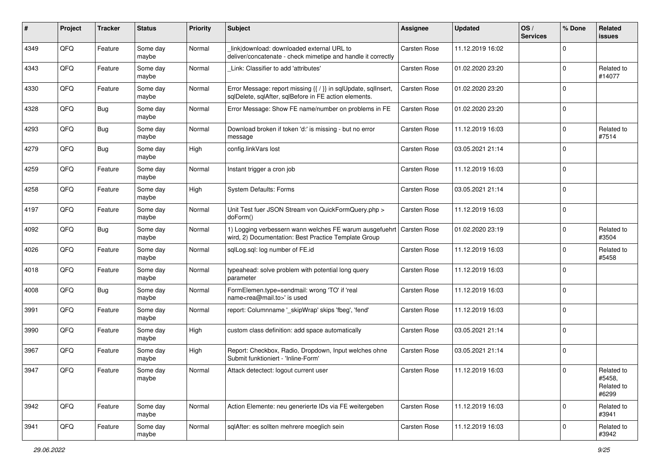| #    | Project | <b>Tracker</b> | <b>Status</b>     | <b>Priority</b> | <b>Subject</b>                                                                                                          | Assignee            | <b>Updated</b>   | OS/<br><b>Services</b> | % Done      | Related<br>issues                           |
|------|---------|----------------|-------------------|-----------------|-------------------------------------------------------------------------------------------------------------------------|---------------------|------------------|------------------------|-------------|---------------------------------------------|
| 4349 | QFQ     | Feature        | Some day<br>maybe | Normal          | link download: downloaded external URL to<br>deliver/concatenate - check mimetipe and handle it correctly               | Carsten Rose        | 11.12.2019 16:02 |                        | $\Omega$    |                                             |
| 4343 | QFQ     | Feature        | Some day<br>maybe | Normal          | Link: Classifier to add 'attributes'                                                                                    | <b>Carsten Rose</b> | 01.02.2020 23:20 |                        | $\mathbf 0$ | Related to<br>#14077                        |
| 4330 | QFQ     | Feature        | Some day<br>maybe | Normal          | Error Message: report missing {{ / }} in sqlUpdate, sqlInsert,<br>sqlDelete, sqlAfter, sqlBefore in FE action elements. | Carsten Rose        | 01.02.2020 23:20 |                        | $\Omega$    |                                             |
| 4328 | QFQ     | Bug            | Some day<br>maybe | Normal          | Error Message: Show FE name/number on problems in FE                                                                    | Carsten Rose        | 01.02.2020 23:20 |                        | $\mathbf 0$ |                                             |
| 4293 | QFQ     | <b>Bug</b>     | Some day<br>maybe | Normal          | Download broken if token 'd:' is missing - but no error<br>message                                                      | Carsten Rose        | 11.12.2019 16:03 |                        | $\mathbf 0$ | Related to<br>#7514                         |
| 4279 | QFQ     | <b>Bug</b>     | Some day<br>maybe | High            | config.linkVars lost                                                                                                    | Carsten Rose        | 03.05.2021 21:14 |                        | $\Omega$    |                                             |
| 4259 | QFQ     | Feature        | Some day<br>maybe | Normal          | Instant trigger a cron job                                                                                              | Carsten Rose        | 11.12.2019 16:03 |                        | $\Omega$    |                                             |
| 4258 | QFQ     | Feature        | Some day<br>maybe | High            | <b>System Defaults: Forms</b>                                                                                           | Carsten Rose        | 03.05.2021 21:14 |                        | $\mathbf 0$ |                                             |
| 4197 | QFQ     | Feature        | Some day<br>maybe | Normal          | Unit Test fuer JSON Stream von QuickFormQuery.php ><br>doForm()                                                         | Carsten Rose        | 11.12.2019 16:03 |                        | $\mathbf 0$ |                                             |
| 4092 | QFQ     | Bug            | Some day<br>maybe | Normal          | 1) Logging verbessern wann welches FE warum ausgefuehrt<br>wird, 2) Documentation: Best Practice Template Group         | <b>Carsten Rose</b> | 01.02.2020 23:19 |                        | 0           | Related to<br>#3504                         |
| 4026 | QFQ     | Feature        | Some day<br>maybe | Normal          | sglLog.sgl: log number of FE.id                                                                                         | Carsten Rose        | 11.12.2019 16:03 |                        | $\mathbf 0$ | Related to<br>#5458                         |
| 4018 | QFQ     | Feature        | Some day<br>maybe | Normal          | typeahead: solve problem with potential long query<br>parameter                                                         | Carsten Rose        | 11.12.2019 16:03 |                        | $\mathbf 0$ |                                             |
| 4008 | QFQ     | Bug            | Some day<br>maybe | Normal          | FormElemen.type=sendmail: wrong 'TO' if 'real<br>name <rea@mail.to>' is used</rea@mail.to>                              | Carsten Rose        | 11.12.2019 16:03 |                        | $\Omega$    |                                             |
| 3991 | QFQ     | Feature        | Some day<br>maybe | Normal          | report: Columnname '_skipWrap' skips 'fbeg', 'fend'                                                                     | Carsten Rose        | 11.12.2019 16:03 |                        | $\mathbf 0$ |                                             |
| 3990 | QFQ     | Feature        | Some day<br>maybe | High            | custom class definition: add space automatically                                                                        | Carsten Rose        | 03.05.2021 21:14 |                        | $\mathbf 0$ |                                             |
| 3967 | QFQ     | Feature        | Some day<br>maybe | High            | Report: Checkbox, Radio, Dropdown, Input welches ohne<br>Submit funktioniert - 'Inline-Form'                            | Carsten Rose        | 03.05.2021 21:14 |                        | l 0         |                                             |
| 3947 | QFQ     | Feature        | Some day<br>maybe | Normal          | Attack detectect: logout current user                                                                                   | <b>Carsten Rose</b> | 11.12.2019 16:03 |                        | 0 I         | Related to<br>#5458,<br>Related to<br>#6299 |
| 3942 | QFQ     | Feature        | Some day<br>maybe | Normal          | Action Elemente: neu generierte IDs via FE weitergeben                                                                  | <b>Carsten Rose</b> | 11.12.2019 16:03 |                        | $\mathbf 0$ | Related to<br>#3941                         |
| 3941 | QFQ     | Feature        | Some day<br>maybe | Normal          | sqlAfter: es sollten mehrere moeglich sein                                                                              | Carsten Rose        | 11.12.2019 16:03 |                        | $\mathbf 0$ | Related to<br>#3942                         |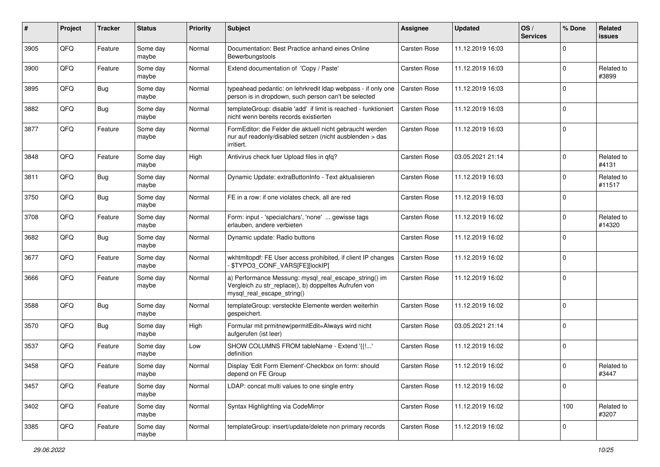| $\#$ | Project | <b>Tracker</b> | <b>Status</b>     | <b>Priority</b> | Subject                                                                                                                                      | Assignee            | <b>Updated</b>   | OS/<br><b>Services</b> | % Done       | Related<br>issues    |
|------|---------|----------------|-------------------|-----------------|----------------------------------------------------------------------------------------------------------------------------------------------|---------------------|------------------|------------------------|--------------|----------------------|
| 3905 | QFQ     | Feature        | Some day<br>maybe | Normal          | Documentation: Best Practice anhand eines Online<br>Bewerbungstools                                                                          | Carsten Rose        | 11.12.2019 16:03 |                        | $\Omega$     |                      |
| 3900 | QFQ     | Feature        | Some day<br>maybe | Normal          | Extend documentation of 'Copy / Paste'                                                                                                       | <b>Carsten Rose</b> | 11.12.2019 16:03 |                        | 0            | Related to<br>#3899  |
| 3895 | QFQ     | Bug            | Some day<br>maybe | Normal          | typeahead pedantic: on lehrkredit Idap webpass - if only one<br>person is in dropdown, such person can't be selected                         | <b>Carsten Rose</b> | 11.12.2019 16:03 |                        | $\Omega$     |                      |
| 3882 | QFQ     | <b>Bug</b>     | Some day<br>maybe | Normal          | templateGroup: disable 'add' if limit is reached - funktioniert<br>nicht wenn bereits records existierten                                    | <b>Carsten Rose</b> | 11.12.2019 16:03 |                        | $\mathbf 0$  |                      |
| 3877 | QFQ     | Feature        | Some day<br>maybe | Normal          | FormEditor: die Felder die aktuell nicht gebraucht werden<br>nur auf readonly/disabled setzen (nicht ausblenden > das<br>irritiert.          | <b>Carsten Rose</b> | 11.12.2019 16:03 |                        | $\mathbf 0$  |                      |
| 3848 | QFQ     | Feature        | Some day<br>maybe | High            | Antivirus check fuer Upload files in qfq?                                                                                                    | Carsten Rose        | 03.05.2021 21:14 |                        | $\mathbf 0$  | Related to<br>#4131  |
| 3811 | QFQ     | <b>Bug</b>     | Some day<br>maybe | Normal          | Dynamic Update: extraButtonInfo - Text aktualisieren                                                                                         | Carsten Rose        | 11.12.2019 16:03 |                        | $\mathbf 0$  | Related to<br>#11517 |
| 3750 | QFQ     | <b>Bug</b>     | Some day<br>maybe | Normal          | FE in a row: if one violates check, all are red                                                                                              | Carsten Rose        | 11.12.2019 16:03 |                        | $\Omega$     |                      |
| 3708 | QFQ     | Feature        | Some day<br>maybe | Normal          | Form: input - 'specialchars', 'none'  gewisse tags<br>erlauben, andere verbieten                                                             | Carsten Rose        | 11.12.2019 16:02 |                        | $\mathbf 0$  | Related to<br>#14320 |
| 3682 | QFQ     | Bug            | Some day<br>maybe | Normal          | Dynamic update: Radio buttons                                                                                                                | Carsten Rose        | 11.12.2019 16:02 |                        | $\mathbf 0$  |                      |
| 3677 | QFQ     | Feature        | Some day<br>maybe | Normal          | wkhtmltopdf: FE User access prohibited, if client IP changes<br>\$TYPO3_CONF_VARS[FE][lockIP]                                                | <b>Carsten Rose</b> | 11.12.2019 16:02 |                        | $\Omega$     |                      |
| 3666 | QFQ     | Feature        | Some day<br>maybe | Normal          | a) Performance Messung: mysql_real_escape_string() im<br>Vergleich zu str_replace(), b) doppeltes Aufrufen von<br>mysql_real_escape_string() | <b>Carsten Rose</b> | 11.12.2019 16:02 |                        | $\Omega$     |                      |
| 3588 | QFQ     | Bug            | Some day<br>maybe | Normal          | templateGroup: versteckte Elemente werden weiterhin<br>gespeichert.                                                                          | <b>Carsten Rose</b> | 11.12.2019 16:02 |                        | $\Omega$     |                      |
| 3570 | QFQ     | <b>Bug</b>     | Some day<br>maybe | High            | Formular mit prmitnew permitEdit=Always wird nicht<br>aufgerufen (ist leer)                                                                  | Carsten Rose        | 03.05.2021 21:14 |                        | $\Omega$     |                      |
| 3537 | QFQ     | Feature        | Some day<br>maybe | Low             | SHOW COLUMNS FROM tableName - Extend '{{!'<br>definition                                                                                     | Carsten Rose        | 11.12.2019 16:02 |                        | $\mathbf{0}$ |                      |
| 3458 | QFQ     | Feature        | Some day<br>maybe | Normal          | Display 'Edit Form Element'-Checkbox on form: should<br>depend on FE Group                                                                   | Carsten Rose        | 11.12.2019 16:02 |                        | $\Omega$     | Related to<br>#3447  |
| 3457 | QFQ     | Feature        | Some day<br>maybe | Normal          | LDAP: concat multi values to one single entry                                                                                                | Carsten Rose        | 11.12.2019 16:02 |                        | 0            |                      |
| 3402 | QFQ     | Feature        | Some day<br>maybe | Normal          | Syntax Highlighting via CodeMirror                                                                                                           | Carsten Rose        | 11.12.2019 16:02 |                        | 100          | Related to<br>#3207  |
| 3385 | QFQ     | Feature        | Some day<br>maybe | Normal          | templateGroup: insert/update/delete non primary records                                                                                      | Carsten Rose        | 11.12.2019 16:02 |                        | 0            |                      |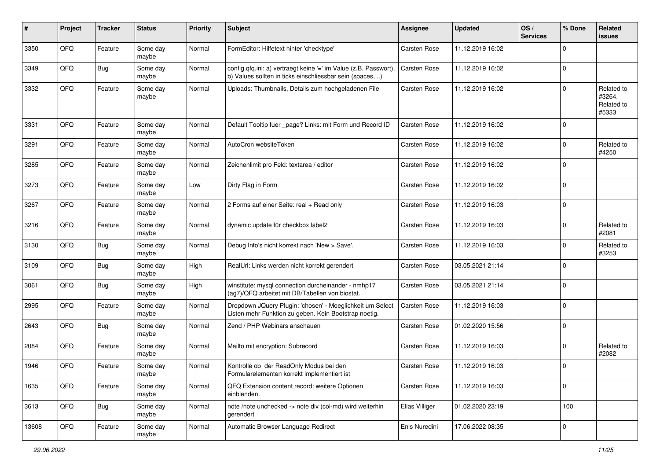| #     | Project | <b>Tracker</b> | <b>Status</b>     | <b>Priority</b> | <b>Subject</b>                                                                                                                | <b>Assignee</b>     | <b>Updated</b>   | OS/<br><b>Services</b> | % Done       | Related<br>issues                           |
|-------|---------|----------------|-------------------|-----------------|-------------------------------------------------------------------------------------------------------------------------------|---------------------|------------------|------------------------|--------------|---------------------------------------------|
| 3350  | QFQ     | Feature        | Some day<br>maybe | Normal          | FormEditor: Hilfetext hinter 'checktype'                                                                                      | <b>Carsten Rose</b> | 11.12.2019 16:02 |                        | $\Omega$     |                                             |
| 3349  | QFQ     | <b>Bug</b>     | Some day<br>maybe | Normal          | config.qfq.ini: a) vertraegt keine '=' im Value (z.B. Passwort),<br>b) Values sollten in ticks einschliessbar sein (spaces, ) | <b>Carsten Rose</b> | 11.12.2019 16:02 |                        | $\mathbf 0$  |                                             |
| 3332  | QFQ     | Feature        | Some day<br>maybe | Normal          | Uploads: Thumbnails, Details zum hochgeladenen File                                                                           | <b>Carsten Rose</b> | 11.12.2019 16:02 |                        | $\Omega$     | Related to<br>#3264,<br>Related to<br>#5333 |
| 3331  | QFQ     | Feature        | Some day<br>maybe | Normal          | Default Tooltip fuer _page? Links: mit Form und Record ID                                                                     | Carsten Rose        | 11.12.2019 16:02 |                        | $\mathbf 0$  |                                             |
| 3291  | QFQ     | Feature        | Some day<br>maybe | Normal          | AutoCron websiteToken                                                                                                         | <b>Carsten Rose</b> | 11.12.2019 16:02 |                        | $\Omega$     | Related to<br>#4250                         |
| 3285  | QFQ     | Feature        | Some day<br>maybe | Normal          | Zeichenlimit pro Feld: textarea / editor                                                                                      | <b>Carsten Rose</b> | 11.12.2019 16:02 |                        | $\mathbf 0$  |                                             |
| 3273  | QFQ     | Feature        | Some day<br>maybe | Low             | Dirty Flag in Form                                                                                                            | <b>Carsten Rose</b> | 11.12.2019 16:02 |                        | $\mathbf 0$  |                                             |
| 3267  | QFQ     | Feature        | Some day<br>maybe | Normal          | 2 Forms auf einer Seite: real + Read only                                                                                     | <b>Carsten Rose</b> | 11.12.2019 16:03 |                        | $\mathbf{0}$ |                                             |
| 3216  | QFQ     | Feature        | Some day<br>maybe | Normal          | dynamic update für checkbox label2                                                                                            | <b>Carsten Rose</b> | 11.12.2019 16:03 |                        | $\Omega$     | Related to<br>#2081                         |
| 3130  | QFQ     | Bug            | Some day<br>maybe | Normal          | Debug Info's nicht korrekt nach 'New > Save'.                                                                                 | <b>Carsten Rose</b> | 11.12.2019 16:03 |                        | $\mathbf 0$  | Related to<br>#3253                         |
| 3109  | QFQ     | Bug            | Some day<br>maybe | High            | RealUrl: Links werden nicht korrekt gerendert                                                                                 | <b>Carsten Rose</b> | 03.05.2021 21:14 |                        | $\mathbf 0$  |                                             |
| 3061  | QFQ     | Bug            | Some day<br>maybe | High            | winstitute: mysql connection durcheinander - nmhp17<br>(ag7)/QFQ arbeitet mit DB/Tabellen von biostat.                        | <b>Carsten Rose</b> | 03.05.2021 21:14 |                        | $\Omega$     |                                             |
| 2995  | QFQ     | Feature        | Some day<br>maybe | Normal          | Dropdown JQuery Plugin: 'chosen' - Moeglichkeit um Select<br>Listen mehr Funktion zu geben. Kein Bootstrap noetig.            | <b>Carsten Rose</b> | 11.12.2019 16:03 |                        | $\mathbf{0}$ |                                             |
| 2643  | QFQ     | Bug            | Some day<br>maybe | Normal          | Zend / PHP Webinars anschauen                                                                                                 | <b>Carsten Rose</b> | 01.02.2020 15:56 |                        | $\mathbf{0}$ |                                             |
| 2084  | QFQ     | Feature        | Some day<br>maybe | Normal          | Mailto mit encryption: Subrecord                                                                                              | <b>Carsten Rose</b> | 11.12.2019 16:03 |                        | $\mathbf{0}$ | Related to<br>#2082                         |
| 1946  | QFQ     | Feature        | Some day<br>maybe | Normal          | Kontrolle ob der ReadOnly Modus bei den<br>Formularelementen korrekt implementiert ist                                        | <b>Carsten Rose</b> | 11.12.2019 16:03 |                        | $\Omega$     |                                             |
| 1635  | QFQ     | Feature        | Some day<br>maybe | Normal          | QFQ Extension content record: weitere Optionen<br>einblenden.                                                                 | <b>Carsten Rose</b> | 11.12.2019 16:03 |                        | $\mathbf 0$  |                                             |
| 3613  | QFQ     | Bug            | Some day<br>maybe | Normal          | note /note unchecked -> note div (col-md) wird weiterhin<br>gerendert                                                         | Elias Villiger      | 01.02.2020 23:19 |                        | 100          |                                             |
| 13608 | QFQ     | Feature        | Some day<br>maybe | Normal          | Automatic Browser Language Redirect                                                                                           | Enis Nuredini       | 17.06.2022 08:35 |                        | 0            |                                             |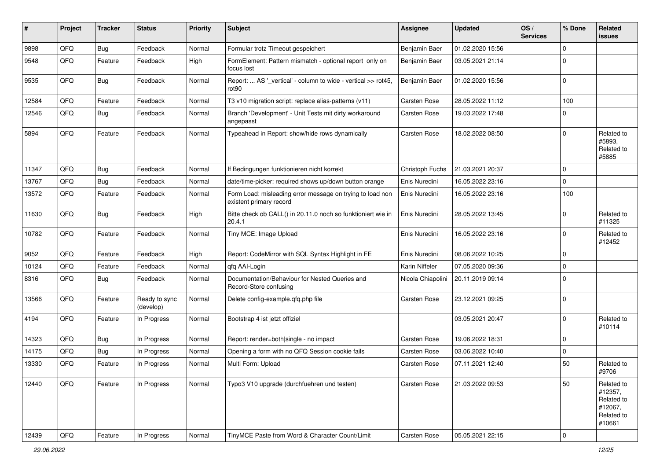| ∦     | Project | <b>Tracker</b> | <b>Status</b>              | <b>Priority</b> | <b>Subject</b>                                                                       | <b>Assignee</b>     | <b>Updated</b>   | OS/<br><b>Services</b> | % Done      | Related<br><b>issues</b>                                               |
|-------|---------|----------------|----------------------------|-----------------|--------------------------------------------------------------------------------------|---------------------|------------------|------------------------|-------------|------------------------------------------------------------------------|
| 9898  | QFQ     | Bug            | Feedback                   | Normal          | Formular trotz Timeout gespeichert                                                   | Benjamin Baer       | 01.02.2020 15:56 |                        | $\Omega$    |                                                                        |
| 9548  | QFQ     | Feature        | Feedback                   | High            | FormElement: Pattern mismatch - optional report only on<br>focus lost                | Benjamin Baer       | 03.05.2021 21:14 |                        | $\Omega$    |                                                                        |
| 9535  | QFQ     | Bug            | Feedback                   | Normal          | Report:  AS '_vertical' - column to wide - vertical >> rot45,<br>rot <sub>90</sub>   | Benjamin Baer       | 01.02.2020 15:56 |                        | $\Omega$    |                                                                        |
| 12584 | QFQ     | Feature        | Feedback                   | Normal          | T3 v10 migration script: replace alias-patterns (v11)                                | <b>Carsten Rose</b> | 28.05.2022 11:12 |                        | 100         |                                                                        |
| 12546 | QFQ     | <b>Bug</b>     | Feedback                   | Normal          | Branch 'Development' - Unit Tests mit dirty workaround<br>angepasst                  | <b>Carsten Rose</b> | 19.03.2022 17:48 |                        | $\mathbf 0$ |                                                                        |
| 5894  | QFQ     | Feature        | Feedback                   | Normal          | Typeahead in Report: show/hide rows dynamically                                      | <b>Carsten Rose</b> | 18.02.2022 08:50 |                        | $\Omega$    | Related to<br>#5893,<br>Related to<br>#5885                            |
| 11347 | QFQ     | Bug            | Feedback                   | Normal          | If Bedingungen funktionieren nicht korrekt                                           | Christoph Fuchs     | 21.03.2021 20:37 |                        | $\Omega$    |                                                                        |
| 13767 | QFQ     | Bug            | Feedback                   | Normal          | date/time-picker: required shows up/down button orange                               | Enis Nuredini       | 16.05.2022 23:16 |                        | $\mathbf 0$ |                                                                        |
| 13572 | QFQ     | Feature        | Feedback                   | Normal          | Form Load: misleading error message on trying to load non<br>existent primary record | Enis Nuredini       | 16.05.2022 23:16 |                        | 100         |                                                                        |
| 11630 | QFQ     | Bug            | Feedback                   | High            | Bitte check ob CALL() in 20.11.0 noch so funktioniert wie in<br>20.4.1               | Enis Nuredini       | 28.05.2022 13:45 |                        | $\Omega$    | Related to<br>#11325                                                   |
| 10782 | QFQ     | Feature        | Feedback                   | Normal          | Tiny MCE: Image Upload                                                               | Enis Nuredini       | 16.05.2022 23:16 |                        | $\Omega$    | Related to<br>#12452                                                   |
| 9052  | QFQ     | Feature        | Feedback                   | High            | Report: CodeMirror with SQL Syntax Highlight in FE                                   | Enis Nuredini       | 08.06.2022 10:25 |                        | $\mathbf 0$ |                                                                        |
| 10124 | QFQ     | Feature        | Feedback                   | Normal          | qfq AAI-Login                                                                        | Karin Niffeler      | 07.05.2020 09:36 |                        | $\Omega$    |                                                                        |
| 8316  | QFQ     | Bug            | Feedback                   | Normal          | Documentation/Behaviour for Nested Queries and<br>Record-Store confusing             | Nicola Chiapolini   | 20.11.2019 09:14 |                        | $\Omega$    |                                                                        |
| 13566 | QFQ     | Feature        | Ready to sync<br>(develop) | Normal          | Delete config-example.qfq.php file                                                   | <b>Carsten Rose</b> | 23.12.2021 09:25 |                        | $\Omega$    |                                                                        |
| 4194  | QFQ     | Feature        | In Progress                | Normal          | Bootstrap 4 ist jetzt offiziel                                                       |                     | 03.05.2021 20:47 |                        | $\Omega$    | Related to<br>#10114                                                   |
| 14323 | QFQ     | <b>Bug</b>     | In Progress                | Normal          | Report: render=both single - no impact                                               | <b>Carsten Rose</b> | 19.06.2022 18:31 |                        | $\mathbf 0$ |                                                                        |
| 14175 | QFQ     | Bug            | In Progress                | Normal          | Opening a form with no QFQ Session cookie fails                                      | <b>Carsten Rose</b> | 03.06.2022 10:40 |                        | $\Omega$    |                                                                        |
| 13330 | QFQ     | Feature        | In Progress                | Normal          | Multi Form: Upload                                                                   | <b>Carsten Rose</b> | 07.11.2021 12:40 |                        | 50          | Related to<br>#9706                                                    |
| 12440 | QFQ     | Feature        | In Progress                | Normal          | Typo3 V10 upgrade (durchfuehren und testen)                                          | <b>Carsten Rose</b> | 21.03.2022 09:53 |                        | 50          | Related to<br>#12357,<br>Related to<br>#12067,<br>Related to<br>#10661 |
| 12439 | QFO     | Feature        | In Progress                | Normal          | TinyMCE Paste from Word & Character Count/Limit                                      | Carsten Rose        | 05.05.2021 22:15 |                        | l 0         |                                                                        |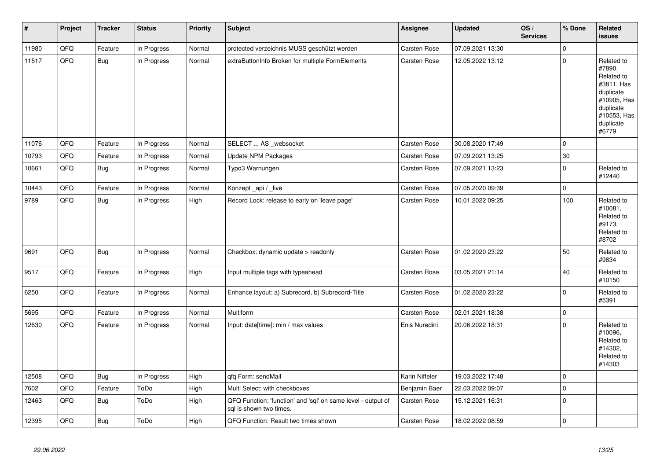| $\vert$ # | Project | <b>Tracker</b> | <b>Status</b> | <b>Priority</b> | <b>Subject</b>                                                                          | Assignee            | <b>Updated</b>   | OS/<br><b>Services</b> | % Done       | Related<br><b>issues</b>                                                                                                       |
|-----------|---------|----------------|---------------|-----------------|-----------------------------------------------------------------------------------------|---------------------|------------------|------------------------|--------------|--------------------------------------------------------------------------------------------------------------------------------|
| 11980     | QFQ     | Feature        | In Progress   | Normal          | protected verzeichnis MUSS geschützt werden                                             | Carsten Rose        | 07.09.2021 13:30 |                        | $\Omega$     |                                                                                                                                |
| 11517     | QFQ     | Bug            | In Progress   | Normal          | extraButtonInfo Broken for multiple FormElements                                        | Carsten Rose        | 12.05.2022 13:12 |                        | $\Omega$     | Related to<br>#7890,<br>Related to<br>#3811, Has<br>duplicate<br>#10905, Has<br>duplicate<br>#10553, Has<br>duplicate<br>#6779 |
| 11076     | QFQ     | Feature        | In Progress   | Normal          | SELECT  AS _websocket                                                                   | <b>Carsten Rose</b> | 30.08.2020 17:49 |                        | $\mathbf 0$  |                                                                                                                                |
| 10793     | QFQ     | Feature        | In Progress   | Normal          | <b>Update NPM Packages</b>                                                              | Carsten Rose        | 07.09.2021 13:25 |                        | 30           |                                                                                                                                |
| 10661     | QFQ     | <b>Bug</b>     | In Progress   | Normal          | Typo3 Warnungen                                                                         | Carsten Rose        | 07.09.2021 13:23 |                        | $\mathbf 0$  | Related to<br>#12440                                                                                                           |
| 10443     | QFQ     | Feature        | In Progress   | Normal          | Konzept_api / _live                                                                     | Carsten Rose        | 07.05.2020 09:39 |                        | $\mathbf{0}$ |                                                                                                                                |
| 9789      | QFQ     | <b>Bug</b>     | In Progress   | High            | Record Lock: release to early on 'leave page'                                           | Carsten Rose        | 10.01.2022 09:25 |                        | 100          | Related to<br>#10081,<br>Related to<br>#9173,<br>Related to<br>#8702                                                           |
| 9691      | QFQ     | Bug            | In Progress   | Normal          | Checkbox: dynamic update > readonly                                                     | <b>Carsten Rose</b> | 01.02.2020 23:22 |                        | 50           | Related to<br>#9834                                                                                                            |
| 9517      | QFQ     | Feature        | In Progress   | High            | Input multiple tags with typeahead                                                      | Carsten Rose        | 03.05.2021 21:14 |                        | 40           | Related to<br>#10150                                                                                                           |
| 6250      | QFQ     | Feature        | In Progress   | Normal          | Enhance layout: a) Subrecord, b) Subrecord-Title                                        | Carsten Rose        | 01.02.2020 23:22 |                        | $\Omega$     | Related to<br>#5391                                                                                                            |
| 5695      | QFQ     | Feature        | In Progress   | Normal          | Multiform                                                                               | <b>Carsten Rose</b> | 02.01.2021 18:38 |                        | $\mathbf 0$  |                                                                                                                                |
| 12630     | QFQ     | Feature        | In Progress   | Normal          | Input: date[time]: min / max values                                                     | Enis Nuredini       | 20.06.2022 18:31 |                        | $\mathbf 0$  | Related to<br>#10096,<br>Related to<br>#14302,<br>Related to<br>#14303                                                         |
| 12508     | QFQ     | Bug            | In Progress   | High            | qfq Form: sendMail                                                                      | Karin Niffeler      | 19.03.2022 17:48 |                        | $\mathbf 0$  |                                                                                                                                |
| 7602      | QFQ     | Feature        | ToDo          | High            | Multi Select: with checkboxes                                                           | Benjamin Baer       | 22.03.2022 09:07 |                        | $\mathbf 0$  |                                                                                                                                |
| 12463     | QFO     | <b>Bug</b>     | ToDo          | High            | QFQ Function: 'function' and 'sql' on same level - output of<br>sql is shown two times. | Carsten Rose        | 15.12.2021 16:31 |                        | $\Omega$     |                                                                                                                                |
| 12395     | QFQ     | <b>Bug</b>     | ToDo          | High            | QFQ Function: Result two times shown                                                    | Carsten Rose        | 18.02.2022 08:59 |                        | $\mathbf 0$  |                                                                                                                                |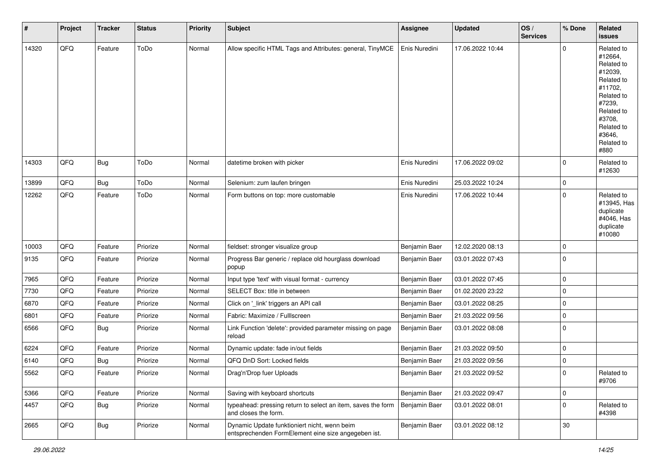| #     | Project | <b>Tracker</b> | <b>Status</b> | Priority | <b>Subject</b>                                                                                      | <b>Assignee</b> | <b>Updated</b>   | OS/<br><b>Services</b> | % Done         | Related<br><b>issues</b>                                                                                                                                              |
|-------|---------|----------------|---------------|----------|-----------------------------------------------------------------------------------------------------|-----------------|------------------|------------------------|----------------|-----------------------------------------------------------------------------------------------------------------------------------------------------------------------|
| 14320 | QFQ     | Feature        | ToDo          | Normal   | Allow specific HTML Tags and Attributes: general, TinyMCE                                           | Enis Nuredini   | 17.06.2022 10:44 |                        | 0              | Related to<br>#12664,<br>Related to<br>#12039,<br>Related to<br>#11702,<br>Related to<br>#7239,<br>Related to<br>#3708,<br>Related to<br>#3646,<br>Related to<br>#880 |
| 14303 | QFQ     | Bug            | ToDo          | Normal   | datetime broken with picker                                                                         | Enis Nuredini   | 17.06.2022 09:02 |                        | 0              | Related to<br>#12630                                                                                                                                                  |
| 13899 | QFQ     | Bug            | ToDo          | Normal   | Selenium: zum laufen bringen                                                                        | Enis Nuredini   | 25.03.2022 10:24 |                        | 0              |                                                                                                                                                                       |
| 12262 | QFQ     | Feature        | ToDo          | Normal   | Form buttons on top: more customable                                                                | Enis Nuredini   | 17.06.2022 10:44 |                        | $\Omega$       | Related to<br>#13945, Has<br>duplicate<br>#4046, Has<br>duplicate<br>#10080                                                                                           |
| 10003 | QFQ     | Feature        | Priorize      | Normal   | fieldset: stronger visualize group                                                                  | Benjamin Baer   | 12.02.2020 08:13 |                        | 0              |                                                                                                                                                                       |
| 9135  | QFQ     | Feature        | Priorize      | Normal   | Progress Bar generic / replace old hourglass download<br>popup                                      | Benjamin Baer   | 03.01.2022 07:43 |                        | $\Omega$       |                                                                                                                                                                       |
| 7965  | QFQ     | Feature        | Priorize      | Normal   | Input type 'text' with visual format - currency                                                     | Benjamin Baer   | 03.01.2022 07:45 |                        | $\mathbf 0$    |                                                                                                                                                                       |
| 7730  | QFQ     | Feature        | Priorize      | Normal   | SELECT Box: title in between                                                                        | Benjamin Baer   | 01.02.2020 23:22 |                        | 0              |                                                                                                                                                                       |
| 6870  | QFQ     | Feature        | Priorize      | Normal   | Click on '_link' triggers an API call                                                               | Benjamin Baer   | 03.01.2022 08:25 |                        | 0              |                                                                                                                                                                       |
| 6801  | QFQ     | Feature        | Priorize      | Normal   | Fabric: Maximize / FullIscreen                                                                      | Benjamin Baer   | 21.03.2022 09:56 |                        | 0              |                                                                                                                                                                       |
| 6566  | QFQ     | Bug            | Priorize      | Normal   | Link Function 'delete': provided parameter missing on page<br>reload                                | Benjamin Baer   | 03.01.2022 08:08 |                        | $\Omega$       |                                                                                                                                                                       |
| 6224  | QFQ     | Feature        | Priorize      | Normal   | Dynamic update: fade in/out fields                                                                  | Benjamin Baer   | 21.03.2022 09:50 |                        | 0              |                                                                                                                                                                       |
| 6140  | QFQ     | <b>Bug</b>     | Priorize      | Normal   | QFQ DnD Sort: Locked fields                                                                         | Benjamin Baer   | 21.03.2022 09:56 |                        | 0              |                                                                                                                                                                       |
| 5562  | QFQ     | Feature        | Priorize      | Normal   | Drag'n'Drop fuer Uploads                                                                            | Benjamin Baer   | 21.03.2022 09:52 |                        | $\overline{0}$ | Related to<br>#9706                                                                                                                                                   |
| 5366  | QFQ     | Feature        | Priorize      | Normal   | Saving with keyboard shortcuts                                                                      | Benjamin Baer   | 21.03.2022 09:47 |                        | 0              |                                                                                                                                                                       |
| 4457  | QFQ     | Bug            | Priorize      | Normal   | typeahead: pressing return to select an item, saves the form<br>and closes the form.                | Benjamin Baer   | 03.01.2022 08:01 |                        | 0              | Related to<br>#4398                                                                                                                                                   |
| 2665  | QFQ     | Bug            | Priorize      | Normal   | Dynamic Update funktioniert nicht, wenn beim<br>entsprechenden FormElement eine size angegeben ist. | Benjamin Baer   | 03.01.2022 08:12 |                        | $30\,$         |                                                                                                                                                                       |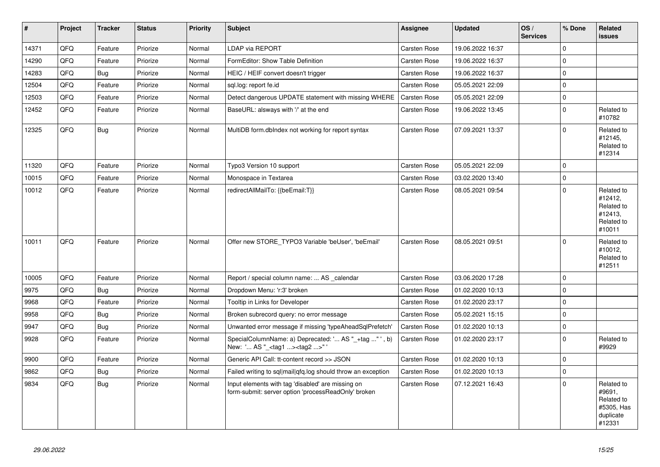| #     | <b>Project</b> | <b>Tracker</b> | <b>Status</b> | Priority | <b>Subject</b>                                                                                           | Assignee            | <b>Updated</b>   | OS/<br><b>Services</b> | % Done      | Related<br><b>issues</b>                                                |
|-------|----------------|----------------|---------------|----------|----------------------------------------------------------------------------------------------------------|---------------------|------------------|------------------------|-------------|-------------------------------------------------------------------------|
| 14371 | QFQ            | Feature        | Priorize      | Normal   | <b>LDAP via REPORT</b>                                                                                   | <b>Carsten Rose</b> | 19.06.2022 16:37 |                        | $\Omega$    |                                                                         |
| 14290 | QFQ            | Feature        | Priorize      | Normal   | FormEditor: Show Table Definition                                                                        | <b>Carsten Rose</b> | 19.06.2022 16:37 |                        | $\mathbf 0$ |                                                                         |
| 14283 | QFQ            | <b>Bug</b>     | Priorize      | Normal   | HEIC / HEIF convert doesn't trigger                                                                      | Carsten Rose        | 19.06.2022 16:37 |                        | $\Omega$    |                                                                         |
| 12504 | QFQ            | Feature        | Priorize      | Normal   | sql.log: report fe.id                                                                                    | <b>Carsten Rose</b> | 05.05.2021 22:09 |                        | $\Omega$    |                                                                         |
| 12503 | QFQ            | Feature        | Priorize      | Normal   | Detect dangerous UPDATE statement with missing WHERE                                                     | <b>Carsten Rose</b> | 05.05.2021 22:09 |                        | $\mathbf 0$ |                                                                         |
| 12452 | QFQ            | Feature        | Priorize      | Normal   | BaseURL: alsways with '/' at the end                                                                     | Carsten Rose        | 19.06.2022 13:45 |                        | $\Omega$    | Related to<br>#10782                                                    |
| 12325 | QFQ            | Bug            | Priorize      | Normal   | MultiDB form.dblndex not working for report syntax                                                       | Carsten Rose        | 07.09.2021 13:37 |                        | $\Omega$    | Related to<br>#12145.<br>Related to<br>#12314                           |
| 11320 | QFQ            | Feature        | Priorize      | Normal   | Typo3 Version 10 support                                                                                 | <b>Carsten Rose</b> | 05.05.2021 22:09 |                        | $\mathbf 0$ |                                                                         |
| 10015 | QFQ            | Feature        | Priorize      | Normal   | Monospace in Textarea                                                                                    | <b>Carsten Rose</b> | 03.02.2020 13:40 |                        | $\Omega$    |                                                                         |
| 10012 | QFQ            | Feature        | Priorize      | Normal   | redirectAllMailTo: {{beEmail:T}}                                                                         | Carsten Rose        | 08.05.2021 09:54 |                        | $\Omega$    | Related to<br>#12412,<br>Related to<br>#12413,<br>Related to<br>#10011  |
| 10011 | QFQ            | Feature        | Priorize      | Normal   | Offer new STORE_TYPO3 Variable 'beUser', 'beEmail'                                                       | Carsten Rose        | 08.05.2021 09:51 |                        | $\Omega$    | Related to<br>#10012,<br>Related to<br>#12511                           |
| 10005 | QFQ            | Feature        | Priorize      | Normal   | Report / special column name:  AS _calendar                                                              | <b>Carsten Rose</b> | 03.06.2020 17:28 |                        | $\mathbf 0$ |                                                                         |
| 9975  | QFQ            | <b>Bug</b>     | Priorize      | Normal   | Dropdown Menu: 'r:3' broken                                                                              | <b>Carsten Rose</b> | 01.02.2020 10:13 |                        | $\Omega$    |                                                                         |
| 9968  | QFQ            | Feature        | Priorize      | Normal   | Tooltip in Links for Developer                                                                           | <b>Carsten Rose</b> | 01.02.2020 23:17 |                        | $\Omega$    |                                                                         |
| 9958  | QFQ            | Bug            | Priorize      | Normal   | Broken subrecord query: no error message                                                                 | <b>Carsten Rose</b> | 05.02.2021 15:15 |                        | $\mathbf 0$ |                                                                         |
| 9947  | QFQ            | <b>Bug</b>     | Priorize      | Normal   | Unwanted error message if missing 'typeAheadSqlPrefetch'                                                 | <b>Carsten Rose</b> | 01.02.2020 10:13 |                        | $\Omega$    |                                                                         |
| 9928  | QFQ            | Feature        | Priorize      | Normal   | SpecialColumnName: a) Deprecated: ' AS "_+tag " ', b)<br>New: ' AS "_ <tag1><tag2>"</tag2></tag1>        | <b>Carsten Rose</b> | 01.02.2020 23:17 |                        | $\Omega$    | Related to<br>#9929                                                     |
| 9900  | QFQ            | Feature        | Priorize      | Normal   | Generic API Call: tt-content record >> JSON                                                              | Carsten Rose        | 01.02.2020 10:13 |                        | $\Omega$    |                                                                         |
| 9862  | QFQ            | <b>Bug</b>     | Priorize      | Normal   | Failed writing to sql mail qfq.log should throw an exception                                             | <b>Carsten Rose</b> | 01.02.2020 10:13 |                        | $\mathbf 0$ |                                                                         |
| 9834  | QFQ            | Bug            | Priorize      | Normal   | Input elements with tag 'disabled' are missing on<br>form-submit: server option 'processReadOnly' broken | <b>Carsten Rose</b> | 07.12.2021 16:43 |                        | $\Omega$    | Related to<br>#9691,<br>Related to<br>#5305, Has<br>duplicate<br>#12331 |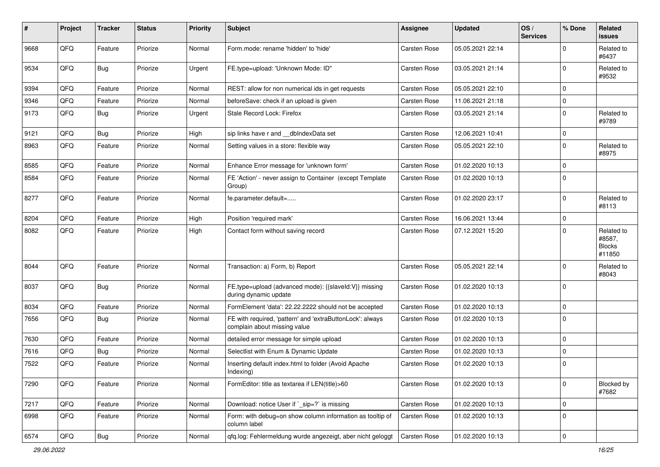| ∦    | Project | <b>Tracker</b> | <b>Status</b> | <b>Priority</b> | <b>Subject</b>                                                                            | <b>Assignee</b>     | <b>Updated</b>   | OS/<br><b>Services</b> | % Done      | Related<br>issues                               |
|------|---------|----------------|---------------|-----------------|-------------------------------------------------------------------------------------------|---------------------|------------------|------------------------|-------------|-------------------------------------------------|
| 9668 | QFQ     | Feature        | Priorize      | Normal          | Form.mode: rename 'hidden' to 'hide'                                                      | <b>Carsten Rose</b> | 05.05.2021 22:14 |                        | $\Omega$    | Related to<br>#6437                             |
| 9534 | QFQ     | Bug            | Priorize      | Urgent          | FE.type=upload: 'Unknown Mode: ID"                                                        | <b>Carsten Rose</b> | 03.05.2021 21:14 |                        | $\Omega$    | Related to<br>#9532                             |
| 9394 | QFQ     | Feature        | Priorize      | Normal          | REST: allow for non numerical ids in get requests                                         | <b>Carsten Rose</b> | 05.05.2021 22:10 |                        | $\Omega$    |                                                 |
| 9346 | QFQ     | Feature        | Priorize      | Normal          | beforeSave: check if an upload is given                                                   | <b>Carsten Rose</b> | 11.06.2021 21:18 |                        | $\mathbf 0$ |                                                 |
| 9173 | QFQ     | Bug            | Priorize      | Urgent          | Stale Record Lock: Firefox                                                                | <b>Carsten Rose</b> | 03.05.2021 21:14 |                        | $\mathbf 0$ | Related to<br>#9789                             |
| 9121 | QFQ     | Bug            | Priorize      | High            | sip links have r and __dbIndexData set                                                    | <b>Carsten Rose</b> | 12.06.2021 10:41 |                        | $\mathbf 0$ |                                                 |
| 8963 | QFQ     | Feature        | Priorize      | Normal          | Setting values in a store: flexible way                                                   | <b>Carsten Rose</b> | 05.05.2021 22:10 |                        | $\Omega$    | Related to<br>#8975                             |
| 8585 | QFQ     | Feature        | Priorize      | Normal          | Enhance Error message for 'unknown form'                                                  | <b>Carsten Rose</b> | 01.02.2020 10:13 |                        | $\mathbf 0$ |                                                 |
| 8584 | QFQ     | Feature        | Priorize      | Normal          | FE 'Action' - never assign to Container (except Template<br>Group)                        | <b>Carsten Rose</b> | 01.02.2020 10:13 |                        | $\Omega$    |                                                 |
| 8277 | QFQ     | Feature        | Priorize      | Normal          | fe.parameter.default=                                                                     | <b>Carsten Rose</b> | 01.02.2020 23:17 |                        | $\Omega$    | Related to<br>#8113                             |
| 8204 | QFQ     | Feature        | Priorize      | High            | Position 'required mark'                                                                  | <b>Carsten Rose</b> | 16.06.2021 13:44 |                        | $\mathbf 0$ |                                                 |
| 8082 | QFQ     | Feature        | Priorize      | High            | Contact form without saving record                                                        | <b>Carsten Rose</b> | 07.12.2021 15:20 |                        | $\Omega$    | Related to<br>#8587,<br><b>Blocks</b><br>#11850 |
| 8044 | QFQ     | Feature        | Priorize      | Normal          | Transaction: a) Form, b) Report                                                           | <b>Carsten Rose</b> | 05.05.2021 22:14 |                        | $\Omega$    | Related to<br>#8043                             |
| 8037 | QFQ     | Bug            | Priorize      | Normal          | FE.type=upload (advanced mode): {{slaveld:V}} missing<br>during dynamic update            | <b>Carsten Rose</b> | 01.02.2020 10:13 |                        | $\Omega$    |                                                 |
| 8034 | QFQ     | Feature        | Priorize      | Normal          | FormElement 'data': 22.22.2222 should not be accepted                                     | <b>Carsten Rose</b> | 01.02.2020 10:13 |                        | $\mathbf 0$ |                                                 |
| 7656 | QFQ     | Bug            | Priorize      | Normal          | FE with required, 'pattern' and 'extraButtonLock': always<br>complain about missing value | <b>Carsten Rose</b> | 01.02.2020 10:13 |                        | $\Omega$    |                                                 |
| 7630 | QFQ     | Feature        | Priorize      | Normal          | detailed error message for simple upload                                                  | <b>Carsten Rose</b> | 01.02.2020 10:13 |                        | $\mathbf 0$ |                                                 |
| 7616 | QFQ     | Bug            | Priorize      | Normal          | Selectlist with Enum & Dynamic Update                                                     | <b>Carsten Rose</b> | 01.02.2020 10:13 |                        | $\Omega$    |                                                 |
| 7522 | QFQ     | Feature        | Priorize      | Normal          | Inserting default index.html to folder (Avoid Apache<br>Indexing)                         | <b>Carsten Rose</b> | 01.02.2020 10:13 |                        | $\mathbf 0$ |                                                 |
| 7290 | QFQ     | Feature        | Priorize      | Normal          | FormEditor: title as textarea if LEN(title)>60                                            | Carsten Rose        | 01.02.2020 10:13 |                        | $\mathbf 0$ | Blocked by<br>#7682                             |
| 7217 | QFQ     | Feature        | Priorize      | Normal          | Download: notice User if `_sip=?` is missing                                              | <b>Carsten Rose</b> | 01.02.2020 10:13 |                        | $\mathbf 0$ |                                                 |
| 6998 | QFQ     | Feature        | Priorize      | Normal          | Form: with debug=on show column information as tooltip of<br>column label                 | <b>Carsten Rose</b> | 01.02.2020 10:13 |                        | $\mathbf 0$ |                                                 |
| 6574 | QFG     | Bug            | Priorize      | Normal          | qfq.log: Fehlermeldung wurde angezeigt, aber nicht geloggt                                | Carsten Rose        | 01.02.2020 10:13 |                        | $\mathbf 0$ |                                                 |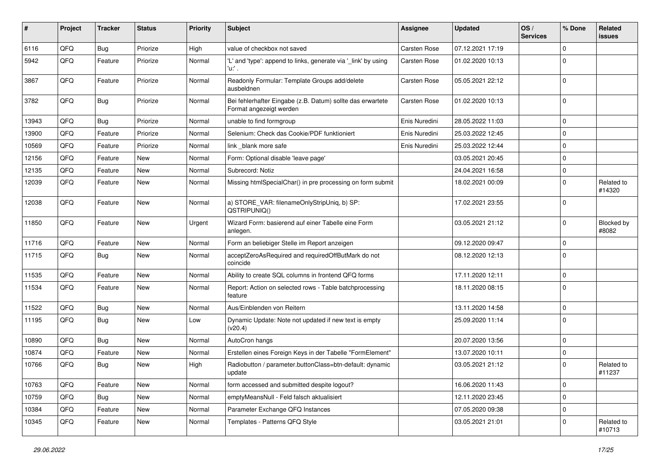| ∦     | Project | <b>Tracker</b> | <b>Status</b> | <b>Priority</b> | Subject                                                                               | Assignee            | <b>Updated</b>   | OS/<br><b>Services</b> | % Done      | Related<br>issues    |
|-------|---------|----------------|---------------|-----------------|---------------------------------------------------------------------------------------|---------------------|------------------|------------------------|-------------|----------------------|
| 6116  | QFQ     | <b>Bug</b>     | Priorize      | High            | value of checkbox not saved                                                           | <b>Carsten Rose</b> | 07.12.2021 17:19 |                        | $\Omega$    |                      |
| 5942  | QFQ     | Feature        | Priorize      | Normal          | 'L' and 'type': append to links, generate via '_link' by using<br>'u:' .              | Carsten Rose        | 01.02.2020 10:13 |                        | $\Omega$    |                      |
| 3867  | QFQ     | Feature        | Priorize      | Normal          | Readonly Formular: Template Groups add/delete<br>ausbeldnen                           | Carsten Rose        | 05.05.2021 22:12 |                        | $\mathbf 0$ |                      |
| 3782  | QFQ     | Bug            | Priorize      | Normal          | Bei fehlerhafter Eingabe (z.B. Datum) sollte das erwartete<br>Format angezeigt werden | <b>Carsten Rose</b> | 01.02.2020 10:13 |                        | $\Omega$    |                      |
| 13943 | QFQ     | <b>Bug</b>     | Priorize      | Normal          | unable to find formgroup                                                              | Enis Nuredini       | 28.05.2022 11:03 |                        | $\mathbf 0$ |                      |
| 13900 | QFQ     | Feature        | Priorize      | Normal          | Selenium: Check das Cookie/PDF funktioniert                                           | Enis Nuredini       | 25.03.2022 12:45 |                        | $\mathbf 0$ |                      |
| 10569 | QFQ     | Feature        | Priorize      | Normal          | link blank more safe                                                                  | Enis Nuredini       | 25.03.2022 12:44 |                        | $\mathbf 0$ |                      |
| 12156 | QFQ     | Feature        | New           | Normal          | Form: Optional disable 'leave page'                                                   |                     | 03.05.2021 20:45 |                        | $\mathbf 0$ |                      |
| 12135 | QFQ     | Feature        | <b>New</b>    | Normal          | Subrecord: Notiz                                                                      |                     | 24.04.2021 16:58 |                        | $\mathbf 0$ |                      |
| 12039 | QFQ     | Feature        | New           | Normal          | Missing htmlSpecialChar() in pre processing on form submit                            |                     | 18.02.2021 00:09 |                        | $\mathbf 0$ | Related to<br>#14320 |
| 12038 | QFQ     | Feature        | <b>New</b>    | Normal          | a) STORE_VAR: filenameOnlyStripUniq, b) SP:<br>QSTRIPUNIQ()                           |                     | 17.02.2021 23:55 |                        | $\Omega$    |                      |
| 11850 | QFQ     | Feature        | <b>New</b>    | Urgent          | Wizard Form: basierend auf einer Tabelle eine Form<br>anlegen.                        |                     | 03.05.2021 21:12 |                        | $\mathbf 0$ | Blocked by<br>#8082  |
| 11716 | QFQ     | Feature        | <b>New</b>    | Normal          | Form an beliebiger Stelle im Report anzeigen                                          |                     | 09.12.2020 09:47 |                        | $\mathbf 0$ |                      |
| 11715 | QFQ     | <b>Bug</b>     | <b>New</b>    | Normal          | acceptZeroAsRequired and requiredOffButMark do not<br>coincide                        |                     | 08.12.2020 12:13 |                        | $\mathbf 0$ |                      |
| 11535 | QFQ     | Feature        | New           | Normal          | Ability to create SQL columns in frontend QFQ forms                                   |                     | 17.11.2020 12:11 |                        | $\mathbf 0$ |                      |
| 11534 | QFQ     | Feature        | <b>New</b>    | Normal          | Report: Action on selected rows - Table batchprocessing<br>feature                    |                     | 18.11.2020 08:15 |                        | $\Omega$    |                      |
| 11522 | QFQ     | <b>Bug</b>     | <b>New</b>    | Normal          | Aus/Einblenden von Reitern                                                            |                     | 13.11.2020 14:58 |                        | $\mathbf 0$ |                      |
| 11195 | QFQ     | <b>Bug</b>     | New           | Low             | Dynamic Update: Note not updated if new text is empty<br>(v20.4)                      |                     | 25.09.2020 11:14 |                        | $\mathbf 0$ |                      |
| 10890 | QFQ     | <b>Bug</b>     | <b>New</b>    | Normal          | AutoCron hangs                                                                        |                     | 20.07.2020 13:56 |                        | $\mathbf 0$ |                      |
| 10874 | QFQ     | Feature        | <b>New</b>    | Normal          | Erstellen eines Foreign Keys in der Tabelle "FormElement"                             |                     | 13.07.2020 10:11 |                        | $\mathbf 0$ |                      |
| 10766 | QFQ     | Bug            | New           | High            | Radiobutton / parameter.buttonClass=btn-default: dynamic<br>update                    |                     | 03.05.2021 21:12 |                        | $\mathbf 0$ | Related to<br>#11237 |
| 10763 | QFQ     | Feature        | <b>New</b>    | Normal          | form accessed and submitted despite logout?                                           |                     | 16.06.2020 11:43 |                        | $\mathbf 0$ |                      |
| 10759 | QFQ     | Bug            | New           | Normal          | emptyMeansNull - Feld falsch aktualisiert                                             |                     | 12.11.2020 23:45 |                        | $\mathbf 0$ |                      |
| 10384 | QFQ     | Feature        | New           | Normal          | Parameter Exchange QFQ Instances                                                      |                     | 07.05.2020 09:38 |                        | $\mathbf 0$ |                      |
| 10345 | QFQ     | Feature        | New           | Normal          | Templates - Patterns QFQ Style                                                        |                     | 03.05.2021 21:01 |                        | $\mathbf 0$ | Related to<br>#10713 |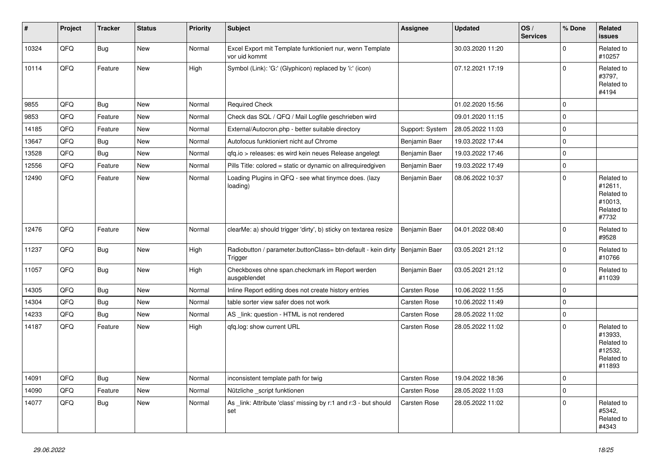| #     | Project | <b>Tracker</b> | <b>Status</b> | <b>Priority</b> | <b>Subject</b>                                                             | <b>Assignee</b>     | <b>Updated</b>   | OS/<br><b>Services</b> | % Done   | Related<br><b>issues</b>                                               |
|-------|---------|----------------|---------------|-----------------|----------------------------------------------------------------------------|---------------------|------------------|------------------------|----------|------------------------------------------------------------------------|
| 10324 | QFQ     | Bug            | <b>New</b>    | Normal          | Excel Export mit Template funktioniert nur, wenn Template<br>vor uid kommt |                     | 30.03.2020 11:20 |                        | $\Omega$ | Related to<br>#10257                                                   |
| 10114 | QFQ     | Feature        | <b>New</b>    | High            | Symbol (Link): 'G:' (Glyphicon) replaced by 'i:' (icon)                    |                     | 07.12.2021 17:19 |                        | $\Omega$ | Related to<br>#3797,<br>Related to<br>#4194                            |
| 9855  | QFQ     | Bug            | <b>New</b>    | Normal          | <b>Required Check</b>                                                      |                     | 01.02.2020 15:56 |                        | $\Omega$ |                                                                        |
| 9853  | QFQ     | Feature        | <b>New</b>    | Normal          | Check das SQL / QFQ / Mail Logfile geschrieben wird                        |                     | 09.01.2020 11:15 |                        | $\Omega$ |                                                                        |
| 14185 | QFQ     | Feature        | <b>New</b>    | Normal          | External/Autocron.php - better suitable directory                          | Support: System     | 28.05.2022 11:03 |                        | $\Omega$ |                                                                        |
| 13647 | QFQ     | Bug            | <b>New</b>    | Normal          | Autofocus funktioniert nicht auf Chrome                                    | Benjamin Baer       | 19.03.2022 17:44 |                        | $\Omega$ |                                                                        |
| 13528 | QFQ     | Bug            | <b>New</b>    | Normal          | gfg.io > releases: es wird kein neues Release angelegt                     | Benjamin Baer       | 19.03.2022 17:46 |                        | 0        |                                                                        |
| 12556 | QFQ     | Feature        | <b>New</b>    | Normal          | Pills Title: colored = static or dynamic on allrequiredgiven               | Benjamin Baer       | 19.03.2022 17:49 |                        | 0        |                                                                        |
| 12490 | QFQ     | Feature        | <b>New</b>    | Normal          | Loading Plugins in QFQ - see what tinymce does. (lazy<br>loading)          | Benjamin Baer       | 08.06.2022 10:37 |                        | $\Omega$ | Related to<br>#12611,<br>Related to<br>#10013,<br>Related to<br>#7732  |
| 12476 | QFQ     | Feature        | <b>New</b>    | Normal          | clearMe: a) should trigger 'dirty', b) sticky on textarea resize           | Benjamin Baer       | 04.01.2022 08:40 |                        | $\Omega$ | Related to<br>#9528                                                    |
| 11237 | QFQ     | <b>Bug</b>     | <b>New</b>    | High            | Radiobutton / parameter.buttonClass= btn-default - kein dirty<br>Trigger   | Benjamin Baer       | 03.05.2021 21:12 |                        | 0        | Related to<br>#10766                                                   |
| 11057 | QFQ     | Bug            | <b>New</b>    | High            | Checkboxes ohne span.checkmark im Report werden<br>ausgeblendet            | Benjamin Baer       | 03.05.2021 21:12 |                        | $\Omega$ | Related to<br>#11039                                                   |
| 14305 | QFQ     | Bug            | <b>New</b>    | Normal          | Inline Report editing does not create history entries                      | Carsten Rose        | 10.06.2022 11:55 |                        | $\Omega$ |                                                                        |
| 14304 | QFQ     | Bug            | <b>New</b>    | Normal          | table sorter view safer does not work                                      | Carsten Rose        | 10.06.2022 11:49 |                        | 0        |                                                                        |
| 14233 | QFQ     | Bug            | <b>New</b>    | Normal          | AS _link: question - HTML is not rendered                                  | Carsten Rose        | 28.05.2022 11:02 |                        | 0        |                                                                        |
| 14187 | QFQ     | Feature        | New           | High            | gfg.log: show current URL                                                  | Carsten Rose        | 28.05.2022 11:02 |                        | $\Omega$ | Related to<br>#13933.<br>Related to<br>#12532,<br>Related to<br>#11893 |
| 14091 | QFQ     | Bug            | <b>New</b>    | Normal          | inconsistent template path for twig                                        | Carsten Rose        | 19.04.2022 18:36 |                        | $\Omega$ |                                                                        |
| 14090 | QFQ     | Feature        | <b>New</b>    | Normal          | Nützliche script funktionen                                                | <b>Carsten Rose</b> | 28.05.2022 11:03 |                        | $\Omega$ |                                                                        |
| 14077 | QFQ     | Bug            | <b>New</b>    | Normal          | As link: Attribute 'class' missing by r:1 and r:3 - but should<br>set      | Carsten Rose        | 28.05.2022 11:02 |                        | $\Omega$ | Related to<br>#5342,<br>Related to<br>#4343                            |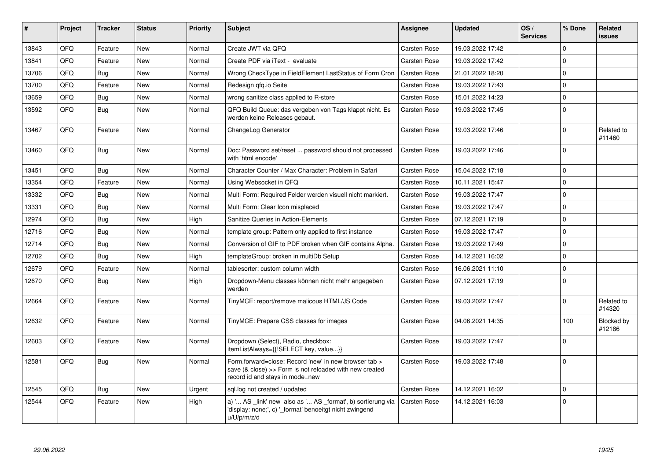| #     | <b>Project</b> | <b>Tracker</b> | <b>Status</b> | <b>Priority</b> | <b>Subject</b>                                                                                                                                      | Assignee            | <b>Updated</b>   | OS/<br><b>Services</b> | % Done       | Related<br><b>issues</b> |
|-------|----------------|----------------|---------------|-----------------|-----------------------------------------------------------------------------------------------------------------------------------------------------|---------------------|------------------|------------------------|--------------|--------------------------|
| 13843 | QFQ            | Feature        | <b>New</b>    | Normal          | Create JWT via QFQ                                                                                                                                  | Carsten Rose        | 19.03.2022 17:42 |                        | $\Omega$     |                          |
| 13841 | QFQ            | Feature        | <b>New</b>    | Normal          | Create PDF via iText - evaluate                                                                                                                     | Carsten Rose        | 19.03.2022 17:42 |                        | $\mathbf 0$  |                          |
| 13706 | QFQ            | Bug            | <b>New</b>    | Normal          | Wrong CheckType in FieldElement LastStatus of Form Cron                                                                                             | <b>Carsten Rose</b> | 21.01.2022 18:20 |                        | $\Omega$     |                          |
| 13700 | QFQ            | Feature        | <b>New</b>    | Normal          | Redesign gfg.io Seite                                                                                                                               | Carsten Rose        | 19.03.2022 17:43 |                        | $\mathbf 0$  |                          |
| 13659 | QFQ            | <b>Bug</b>     | <b>New</b>    | Normal          | wrong sanitize class applied to R-store                                                                                                             | Carsten Rose        | 15.01.2022 14:23 |                        | $\mathbf{0}$ |                          |
| 13592 | QFQ            | Bug            | <b>New</b>    | Normal          | QFQ Build Queue: das vergeben von Tags klappt nicht. Es<br>werden keine Releases gebaut.                                                            | <b>Carsten Rose</b> | 19.03.2022 17:45 |                        | $\Omega$     |                          |
| 13467 | QFQ            | Feature        | <b>New</b>    | Normal          | ChangeLog Generator                                                                                                                                 | Carsten Rose        | 19.03.2022 17:46 |                        | $\Omega$     | Related to<br>#11460     |
| 13460 | QFQ            | Bug            | <b>New</b>    | Normal          | Doc: Password set/reset  password should not processed<br>with 'html encode'                                                                        | <b>Carsten Rose</b> | 19.03.2022 17:46 |                        | $\mathbf 0$  |                          |
| 13451 | QFQ            | Bug            | <b>New</b>    | Normal          | Character Counter / Max Character: Problem in Safari                                                                                                | Carsten Rose        | 15.04.2022 17:18 |                        | 0            |                          |
| 13354 | QFQ            | Feature        | <b>New</b>    | Normal          | Using Websocket in QFQ                                                                                                                              | <b>Carsten Rose</b> | 10.11.2021 15:47 |                        | $\Omega$     |                          |
| 13332 | QFQ            | Bug            | New           | Normal          | Multi Form: Required Felder werden visuell nicht markiert.                                                                                          | Carsten Rose        | 19.03.2022 17:47 |                        | $\mathbf 0$  |                          |
| 13331 | QFQ            | Bug            | <b>New</b>    | Normal          | Multi Form: Clear Icon misplaced                                                                                                                    | <b>Carsten Rose</b> | 19.03.2022 17:47 |                        | $\Omega$     |                          |
| 12974 | QFQ            | <b>Bug</b>     | <b>New</b>    | High            | Sanitize Queries in Action-Elements                                                                                                                 | Carsten Rose        | 07.12.2021 17:19 |                        | $\Omega$     |                          |
| 12716 | QFQ            | Bug            | New           | Normal          | template group: Pattern only applied to first instance                                                                                              | Carsten Rose        | 19.03.2022 17:47 |                        | $\mathbf 0$  |                          |
| 12714 | QFQ            | Bug            | <b>New</b>    | Normal          | Conversion of GIF to PDF broken when GIF contains Alpha.                                                                                            | <b>Carsten Rose</b> | 19.03.2022 17:49 |                        | $\mathbf 0$  |                          |
| 12702 | QFQ            | Bug            | <b>New</b>    | High            | templateGroup: broken in multiDb Setup                                                                                                              | Carsten Rose        | 14.12.2021 16:02 |                        | $\Omega$     |                          |
| 12679 | QFQ            | Feature        | <b>New</b>    | Normal          | tablesorter: custom column width                                                                                                                    | <b>Carsten Rose</b> | 16.06.2021 11:10 |                        | $\mathbf 0$  |                          |
| 12670 | QFQ            | <b>Bug</b>     | <b>New</b>    | High            | Dropdown-Menu classes können nicht mehr angegeben<br>werden                                                                                         | Carsten Rose        | 07.12.2021 17:19 |                        | $\Omega$     |                          |
| 12664 | QFQ            | Feature        | <b>New</b>    | Normal          | TinyMCE: report/remove malicous HTML/JS Code                                                                                                        | Carsten Rose        | 19.03.2022 17:47 |                        | $\mathbf 0$  | Related to<br>#14320     |
| 12632 | QFQ            | Feature        | <b>New</b>    | Normal          | TinyMCE: Prepare CSS classes for images                                                                                                             | Carsten Rose        | 04.06.2021 14:35 |                        | 100          | Blocked by<br>#12186     |
| 12603 | QFQ            | Feature        | New           | Normal          | Dropdown (Select), Radio, checkbox:<br>itemListAlways={{!SELECT key, value}}                                                                        | Carsten Rose        | 19.03.2022 17:47 |                        | 0            |                          |
| 12581 | QFQ            | Bug            | <b>New</b>    | Normal          | Form.forward=close: Record 'new' in new browser tab ><br>save (& close) >> Form is not reloaded with new created<br>record id and stays in mode=new | Carsten Rose        | 19.03.2022 17:48 |                        | $\Omega$     |                          |
| 12545 | QFQ            | Bug            | <b>New</b>    | Urgent          | sql.log not created / updated                                                                                                                       | Carsten Rose        | 14.12.2021 16:02 |                        | $\mathbf 0$  |                          |
| 12544 | QFQ            | Feature        | New           | High            | a) ' AS _link' new also as ' AS _format', b) sortierung via<br>'display: none;', c) '_format' benoeitgt nicht zwingend<br>u/U/p/m/z/d               | Carsten Rose        | 14.12.2021 16:03 |                        | $\Omega$     |                          |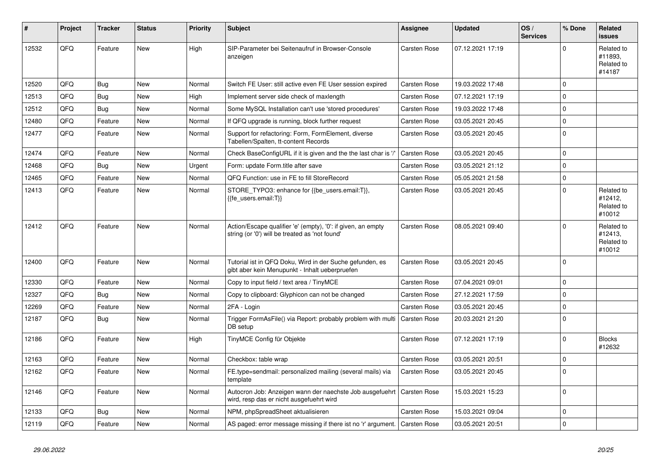| #     | Project | <b>Tracker</b> | <b>Status</b> | <b>Priority</b> | <b>Subject</b>                                                                                                 | Assignee            | <b>Updated</b>   | OS/<br><b>Services</b> | % Done      | <b>Related</b><br><b>issues</b>               |
|-------|---------|----------------|---------------|-----------------|----------------------------------------------------------------------------------------------------------------|---------------------|------------------|------------------------|-------------|-----------------------------------------------|
| 12532 | QFQ     | Feature        | <b>New</b>    | High            | SIP-Parameter bei Seitenaufruf in Browser-Console<br>anzeigen                                                  | Carsten Rose        | 07.12.2021 17:19 |                        | $\Omega$    | Related to<br>#11893.<br>Related to<br>#14187 |
| 12520 | QFQ     | Bug            | <b>New</b>    | Normal          | Switch FE User: still active even FE User session expired                                                      | <b>Carsten Rose</b> | 19.03.2022 17:48 |                        | $\Omega$    |                                               |
| 12513 | QFQ     | Bug            | <b>New</b>    | High            | Implement server side check of maxlength                                                                       | Carsten Rose        | 07.12.2021 17:19 |                        | $\Omega$    |                                               |
| 12512 | QFQ     | Bug            | <b>New</b>    | Normal          | Some MySQL Installation can't use 'stored procedures'                                                          | <b>Carsten Rose</b> | 19.03.2022 17:48 |                        | $\Omega$    |                                               |
| 12480 | QFQ     | Feature        | New           | Normal          | If QFQ upgrade is running, block further request                                                               | Carsten Rose        | 03.05.2021 20:45 |                        | $\Omega$    |                                               |
| 12477 | QFQ     | Feature        | <b>New</b>    | Normal          | Support for refactoring: Form, FormElement, diverse<br>Tabellen/Spalten, tt-content Records                    | <b>Carsten Rose</b> | 03.05.2021 20:45 |                        | $\Omega$    |                                               |
| 12474 | QFQ     | Feature        | New           | Normal          | Check BaseConfigURL if it is given and the the last char is '/                                                 | <b>Carsten Rose</b> | 03.05.2021 20:45 |                        | $\Omega$    |                                               |
| 12468 | QFQ     | <b>Bug</b>     | <b>New</b>    | Urgent          | Form: update Form.title after save                                                                             | Carsten Rose        | 03.05.2021 21:12 |                        | $\Omega$    |                                               |
| 12465 | QFQ     | Feature        | <b>New</b>    | Normal          | QFQ Function: use in FE to fill StoreRecord                                                                    | Carsten Rose        | 05.05.2021 21:58 |                        | $\Omega$    |                                               |
| 12413 | QFQ     | Feature        | <b>New</b>    | Normal          | STORE TYPO3: enhance for {{be users.email:T}},<br>{{fe users.email:T}}                                         | Carsten Rose        | 03.05.2021 20:45 |                        | $\Omega$    | Related to<br>#12412,<br>Related to<br>#10012 |
| 12412 | QFQ     | Feature        | <b>New</b>    | Normal          | Action/Escape qualifier 'e' (empty), '0': if given, an empty<br>string (or '0') will be treated as 'not found' | <b>Carsten Rose</b> | 08.05.2021 09:40 |                        | $\Omega$    | Related to<br>#12413,<br>Related to<br>#10012 |
| 12400 | QFQ     | Feature        | New           | Normal          | Tutorial ist in QFQ Doku, Wird in der Suche gefunden, es<br>gibt aber kein Menupunkt - Inhalt ueberpruefen     | Carsten Rose        | 03.05.2021 20:45 |                        | $\Omega$    |                                               |
| 12330 | QFQ     | Feature        | New           | Normal          | Copy to input field / text area / TinyMCE                                                                      | <b>Carsten Rose</b> | 07.04.2021 09:01 |                        | $\Omega$    |                                               |
| 12327 | QFQ     | Bug            | <b>New</b>    | Normal          | Copy to clipboard: Glyphicon can not be changed                                                                | Carsten Rose        | 27.12.2021 17:59 |                        | $\Omega$    |                                               |
| 12269 | QFQ     | Feature        | New           | Normal          | 2FA - Login                                                                                                    | <b>Carsten Rose</b> | 03.05.2021 20:45 |                        | $\Omega$    |                                               |
| 12187 | QFQ     | <b>Bug</b>     | <b>New</b>    | Normal          | Trigger FormAsFile() via Report: probably problem with multi<br>DB setup                                       | <b>Carsten Rose</b> | 20.03.2021 21:20 |                        | $\Omega$    |                                               |
| 12186 | QFQ     | Feature        | <b>New</b>    | High            | TinyMCE Config für Objekte                                                                                     | Carsten Rose        | 07.12.2021 17:19 |                        | $\Omega$    | <b>Blocks</b><br>#12632                       |
| 12163 | QFQ     | Feature        | <b>New</b>    | Normal          | Checkbox: table wrap                                                                                           | <b>Carsten Rose</b> | 03.05.2021 20:51 |                        | $\Omega$    |                                               |
| 12162 | QFQ     | Feature        | <b>New</b>    | Normal          | FE.type=sendmail: personalized mailing (several mails) via<br>template                                         | Carsten Rose        | 03.05.2021 20:45 |                        | $\Omega$    |                                               |
| 12146 | QFQ     | Feature        | New           | Normal          | Autocron Job: Anzeigen wann der naechste Job ausgefuehrt<br>wird, resp das er nicht ausgefuehrt wird           | <b>Carsten Rose</b> | 15.03.2021 15:23 |                        | $\Omega$    |                                               |
| 12133 | QFQ     | Bug            | New           | Normal          | NPM, phpSpreadSheet aktualisieren                                                                              | <b>Carsten Rose</b> | 15.03.2021 09:04 |                        | $\mathbf 0$ |                                               |
| 12119 | QFQ     | Feature        | <b>New</b>    | Normal          | AS paged: error message missing if there ist no 'r' argument.                                                  | <b>Carsten Rose</b> | 03.05.2021 20:51 |                        | $\Omega$    |                                               |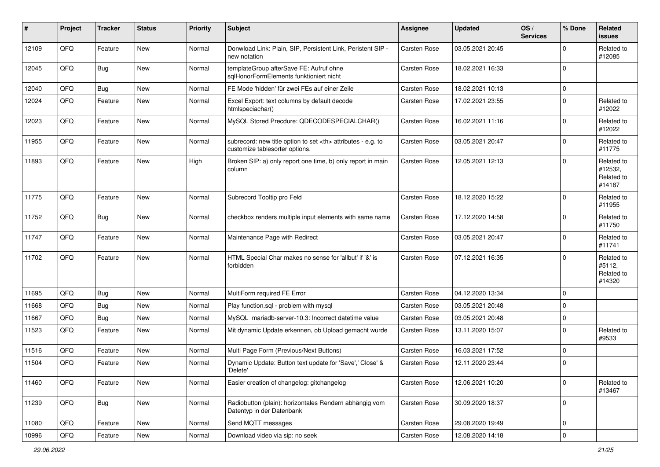| #     | Project | <b>Tracker</b> | <b>Status</b> | <b>Priority</b> | <b>Subject</b>                                                                                       | <b>Assignee</b>                                        | <b>Updated</b>   | OS/<br><b>Services</b> | % Done      | Related<br><b>issues</b>                      |                      |
|-------|---------|----------------|---------------|-----------------|------------------------------------------------------------------------------------------------------|--------------------------------------------------------|------------------|------------------------|-------------|-----------------------------------------------|----------------------|
| 12109 | QFQ     | Feature        | New           | Normal          | Donwload Link: Plain, SIP, Persistent Link, Peristent SIP -<br>new notation                          | <b>Carsten Rose</b>                                    | 03.05.2021 20:45 |                        | $\Omega$    | Related to<br>#12085                          |                      |
| 12045 | QFQ     | Bug            | New           | Normal          | templateGroup afterSave FE: Aufruf ohne<br>sqlHonorFormElements funktioniert nicht                   | <b>Carsten Rose</b>                                    | 18.02.2021 16:33 |                        | $\Omega$    |                                               |                      |
| 12040 | QFQ     | Bug            | <b>New</b>    | Normal          | FE Mode 'hidden' für zwei FEs auf einer Zeile                                                        | <b>Carsten Rose</b>                                    | 18.02.2021 10:13 |                        | $\mathbf 0$ |                                               |                      |
| 12024 | QFQ     | Feature        | <b>New</b>    | Normal          | Excel Export: text columns by default decode<br>htmlspeciachar()                                     | <b>Carsten Rose</b>                                    | 17.02.2021 23:55 |                        | $\Omega$    | Related to<br>#12022                          |                      |
| 12023 | QFQ     | Feature        | <b>New</b>    | Normal          | MySQL Stored Precdure: QDECODESPECIALCHAR()                                                          | <b>Carsten Rose</b>                                    | 16.02.2021 11:16 |                        | $\Omega$    | Related to<br>#12022                          |                      |
| 11955 | QFQ     | Feature        | <b>New</b>    | Normal          | subrecord: new title option to set <th> attributes - e.g. to<br/>customize tablesorter options.</th> | attributes - e.g. to<br>customize tablesorter options. | Carsten Rose     | 03.05.2021 20:47       |             | $\mathbf 0$                                   | Related to<br>#11775 |
| 11893 | QFQ     | Feature        | <b>New</b>    | High            | Broken SIP: a) only report one time, b) only report in main<br>column                                | <b>Carsten Rose</b>                                    | 12.05.2021 12:13 |                        | $\Omega$    | Related to<br>#12532,<br>Related to<br>#14187 |                      |
| 11775 | QFQ     | Feature        | <b>New</b>    | Normal          | Subrecord Tooltip pro Feld                                                                           | <b>Carsten Rose</b>                                    | 18.12.2020 15:22 |                        | $\Omega$    | Related to<br>#11955                          |                      |
| 11752 | QFQ     | <b>Bug</b>     | <b>New</b>    | Normal          | checkbox renders multiple input elements with same name                                              | <b>Carsten Rose</b>                                    | 17.12.2020 14:58 |                        | $\Omega$    | Related to<br>#11750                          |                      |
| 11747 | QFQ     | Feature        | New           | Normal          | Maintenance Page with Redirect                                                                       | Carsten Rose                                           | 03.05.2021 20:47 |                        | $\Omega$    | Related to<br>#11741                          |                      |
| 11702 | QFQ     | Feature        | <b>New</b>    | Normal          | HTML Special Char makes no sense for 'allbut' if '&' is<br>forbidden                                 | <b>Carsten Rose</b>                                    | 07.12.2021 16:35 |                        | $\Omega$    | Related to<br>#5112,<br>Related to<br>#14320  |                      |
| 11695 | QFQ     | Bug            | <b>New</b>    | Normal          | MultiForm required FE Error                                                                          | <b>Carsten Rose</b>                                    | 04.12.2020 13:34 |                        | $\mathbf 0$ |                                               |                      |
| 11668 | QFQ     | Bug            | <b>New</b>    | Normal          | Play function.sql - problem with mysql                                                               | <b>Carsten Rose</b>                                    | 03.05.2021 20:48 |                        | $\mathbf 0$ |                                               |                      |
| 11667 | QFQ     | Bug            | <b>New</b>    | Normal          | MySQL mariadb-server-10.3: Incorrect datetime value                                                  | <b>Carsten Rose</b>                                    | 03.05.2021 20:48 |                        | $\Omega$    |                                               |                      |
| 11523 | QFQ     | Feature        | New           | Normal          | Mit dynamic Update erkennen, ob Upload gemacht wurde                                                 | <b>Carsten Rose</b>                                    | 13.11.2020 15:07 |                        | $\Omega$    | Related to<br>#9533                           |                      |
| 11516 | QFQ     | Feature        | <b>New</b>    | Normal          | Multi Page Form (Previous/Next Buttons)                                                              | <b>Carsten Rose</b>                                    | 16.03.2021 17:52 |                        | $\mathbf 0$ |                                               |                      |
| 11504 | QFQ     | Feature        | New           | Normal          | Dynamic Update: Button text update for 'Save',' Close' &<br>'Delete'                                 | <b>Carsten Rose</b>                                    | 12.11.2020 23:44 |                        | $\Omega$    |                                               |                      |
| 11460 | QFQ     | Feature        | New           | Normal          | Easier creation of changelog: gitchangelog                                                           | <b>Carsten Rose</b>                                    | 12.06.2021 10:20 |                        | $\mathbf 0$ | Related to<br>#13467                          |                      |
| 11239 | QFQ     | Bug            | <b>New</b>    | Normal          | Radiobutton (plain): horizontales Rendern abhängig vom<br>Datentyp in der Datenbank                  | Carsten Rose                                           | 30.09.2020 18:37 |                        | $\mathbf 0$ |                                               |                      |
| 11080 | QFQ     | Feature        | <b>New</b>    | Normal          | Send MQTT messages                                                                                   | <b>Carsten Rose</b>                                    | 29.08.2020 19:49 |                        | 0           |                                               |                      |
| 10996 | QFQ     | Feature        | New           | Normal          | Download video via sip: no seek                                                                      | <b>Carsten Rose</b>                                    | 12.08.2020 14:18 |                        | $\mathbf 0$ |                                               |                      |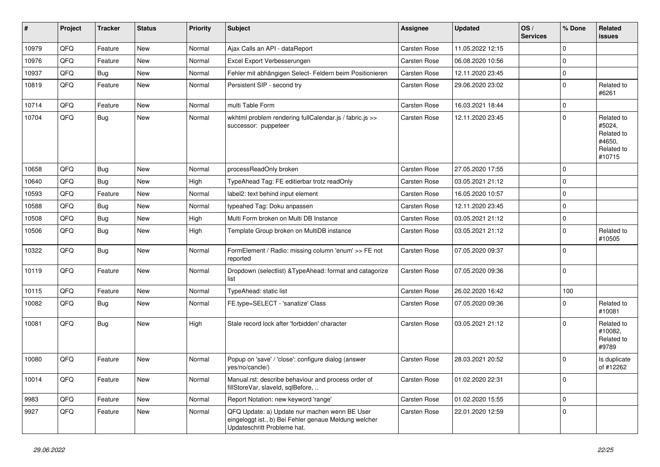| #     | Project | <b>Tracker</b> | <b>Status</b> | <b>Priority</b> | Subject                                                                                                                               | <b>Assignee</b>     | <b>Updated</b>   | OS/<br><b>Services</b> | % Done      | Related<br><b>issues</b>                                             |
|-------|---------|----------------|---------------|-----------------|---------------------------------------------------------------------------------------------------------------------------------------|---------------------|------------------|------------------------|-------------|----------------------------------------------------------------------|
| 10979 | QFQ     | Feature        | New           | Normal          | Ajax Calls an API - dataReport                                                                                                        | Carsten Rose        | 11.05.2022 12:15 |                        | $\Omega$    |                                                                      |
| 10976 | QFQ     | Feature        | New           | Normal          | Excel Export Verbesserungen                                                                                                           | <b>Carsten Rose</b> | 06.08.2020 10:56 |                        | $\mathbf 0$ |                                                                      |
| 10937 | QFQ     | <b>Bug</b>     | <b>New</b>    | Normal          | Fehler mit abhängigen Select- Feldern beim Positionieren                                                                              | Carsten Rose        | 12.11.2020 23:45 |                        | $\Omega$    |                                                                      |
| 10819 | QFQ     | Feature        | <b>New</b>    | Normal          | Persistent SIP - second try                                                                                                           | <b>Carsten Rose</b> | 29.06.2020 23:02 |                        | $\Omega$    | Related to<br>#6261                                                  |
| 10714 | QFQ     | Feature        | <b>New</b>    | Normal          | multi Table Form                                                                                                                      | <b>Carsten Rose</b> | 16.03.2021 18:44 |                        | $\Omega$    |                                                                      |
| 10704 | QFQ     | Bug            | New           | Normal          | wkhtml problem rendering fullCalendar.js / fabric.js >><br>successor: puppeteer                                                       | <b>Carsten Rose</b> | 12.11.2020 23:45 |                        | $\Omega$    | Related to<br>#5024,<br>Related to<br>#4650,<br>Related to<br>#10715 |
| 10658 | QFQ     | Bug            | <b>New</b>    | Normal          | processReadOnly broken                                                                                                                | <b>Carsten Rose</b> | 27.05.2020 17:55 |                        | $\Omega$    |                                                                      |
| 10640 | QFQ     | Bug            | <b>New</b>    | High            | TypeAhead Tag: FE editierbar trotz readOnly                                                                                           | <b>Carsten Rose</b> | 03.05.2021 21:12 |                        | $\Omega$    |                                                                      |
| 10593 | QFQ     | Feature        | <b>New</b>    | Normal          | label2: text behind input element                                                                                                     | <b>Carsten Rose</b> | 16.05.2020 10:57 |                        | $\Omega$    |                                                                      |
| 10588 | QFQ     | <b>Bug</b>     | New           | Normal          | typeahed Tag: Doku anpassen                                                                                                           | <b>Carsten Rose</b> | 12.11.2020 23:45 |                        | $\Omega$    |                                                                      |
| 10508 | QFQ     | <b>Bug</b>     | <b>New</b>    | High            | Multi Form broken on Multi DB Instance                                                                                                | Carsten Rose        | 03.05.2021 21:12 |                        | $\mathbf 0$ |                                                                      |
| 10506 | QFQ     | Bug            | New           | High            | Template Group broken on MultiDB instance                                                                                             | <b>Carsten Rose</b> | 03.05.2021 21:12 |                        | $\Omega$    | Related to<br>#10505                                                 |
| 10322 | QFQ     | Bug            | <b>New</b>    | Normal          | FormElement / Radio: missing column 'enum' >> FE not<br>reported                                                                      | <b>Carsten Rose</b> | 07.05.2020 09:37 |                        | $\Omega$    |                                                                      |
| 10119 | QFQ     | Feature        | New           | Normal          | Dropdown (selectlist) & TypeAhead: format and catagorize<br>list                                                                      | <b>Carsten Rose</b> | 07.05.2020 09:36 |                        | $\Omega$    |                                                                      |
| 10115 | QFQ     | Feature        | <b>New</b>    | Normal          | TypeAhead: static list                                                                                                                | <b>Carsten Rose</b> | 26.02.2020 16:42 |                        | 100         |                                                                      |
| 10082 | QFQ     | Bug            | New           | Normal          | FE.type=SELECT - 'sanatize' Class                                                                                                     | Carsten Rose        | 07.05.2020 09:36 |                        | $\mathbf 0$ | Related to<br>#10081                                                 |
| 10081 | QFQ     | Bug            | New           | High            | Stale record lock after 'forbidden' character                                                                                         | <b>Carsten Rose</b> | 03.05.2021 21:12 |                        | $\Omega$    | Related to<br>#10082,<br>Related to<br>#9789                         |
| 10080 | QFQ     | Feature        | New           | Normal          | Popup on 'save' / 'close': configure dialog (answer<br>yes/no/cancle/)                                                                | <b>Carsten Rose</b> | 28.03.2021 20:52 |                        | $\Omega$    | Is duplicate<br>of #12262                                            |
| 10014 | QFQ     | Feature        | New           | Normal          | Manual.rst: describe behaviour and process order of<br>fillStoreVar, slaveId, sqlBefore,                                              | Carsten Rose        | 01.02.2020 22:31 |                        | $\mathbf 0$ |                                                                      |
| 9983  | QFQ     | Feature        | New           | Normal          | Report Notation: new keyword 'range'                                                                                                  | Carsten Rose        | 01.02.2020 15:55 |                        | $\mathbf 0$ |                                                                      |
| 9927  | QFQ     | Feature        | New           | Normal          | QFQ Update: a) Update nur machen wenn BE User<br>eingeloggt ist., b) Bei Fehler genaue Meldung welcher<br>Updateschritt Probleme hat. | Carsten Rose        | 22.01.2020 12:59 |                        | $\mathbf 0$ |                                                                      |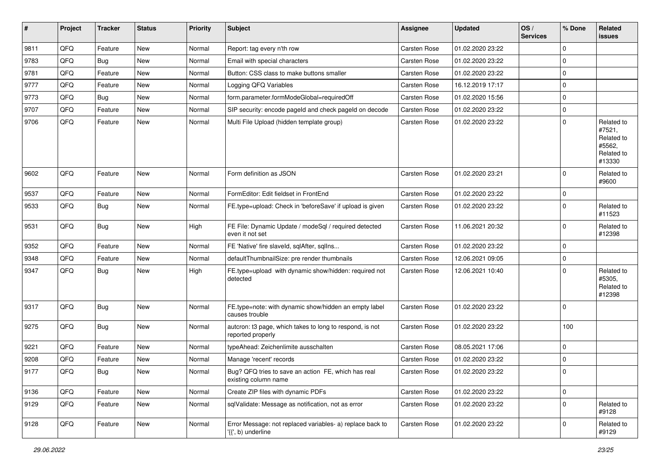| #    | Project | <b>Tracker</b> | <b>Status</b> | <b>Priority</b> | <b>Subject</b>                                                                  | <b>Assignee</b>     | <b>Updated</b>   | OS/<br><b>Services</b> | % Done         | Related<br>issues                                                    |
|------|---------|----------------|---------------|-----------------|---------------------------------------------------------------------------------|---------------------|------------------|------------------------|----------------|----------------------------------------------------------------------|
| 9811 | QFQ     | Feature        | <b>New</b>    | Normal          | Report: tag every n'th row                                                      | <b>Carsten Rose</b> | 01.02.2020 23:22 |                        | $\mathbf 0$    |                                                                      |
| 9783 | QFQ     | Bug            | <b>New</b>    | Normal          | Email with special characters                                                   | <b>Carsten Rose</b> | 01.02.2020 23:22 |                        | $\overline{0}$ |                                                                      |
| 9781 | QFQ     | Feature        | New           | Normal          | Button: CSS class to make buttons smaller                                       | <b>Carsten Rose</b> | 01.02.2020 23:22 |                        | $\overline{0}$ |                                                                      |
| 9777 | QFQ     | Feature        | <b>New</b>    | Normal          | Logging QFQ Variables                                                           | <b>Carsten Rose</b> | 16.12.2019 17:17 |                        | $\overline{0}$ |                                                                      |
| 9773 | QFQ     | Bug            | <b>New</b>    | Normal          | form.parameter.formModeGlobal=requiredOff                                       | <b>Carsten Rose</b> | 01.02.2020 15:56 |                        | $\overline{0}$ |                                                                      |
| 9707 | QFQ     | Feature        | <b>New</b>    | Normal          | SIP security: encode pageId and check pageId on decode                          | <b>Carsten Rose</b> | 01.02.2020 23:22 |                        | $\overline{0}$ |                                                                      |
| 9706 | QFQ     | Feature        | <b>New</b>    | Normal          | Multi File Upload (hidden template group)                                       | Carsten Rose        | 01.02.2020 23:22 |                        | $\overline{0}$ | Related to<br>#7521,<br>Related to<br>#5562,<br>Related to<br>#13330 |
| 9602 | QFQ     | Feature        | New           | Normal          | Form definition as JSON                                                         | <b>Carsten Rose</b> | 01.02.2020 23:21 |                        | $\overline{0}$ | Related to<br>#9600                                                  |
| 9537 | QFQ     | Feature        | <b>New</b>    | Normal          | FormEditor: Edit fieldset in FrontEnd                                           | <b>Carsten Rose</b> | 01.02.2020 23:22 |                        | $\overline{0}$ |                                                                      |
| 9533 | QFQ     | Bug            | New           | Normal          | FE.type=upload: Check in 'beforeSave' if upload is given                        | <b>Carsten Rose</b> | 01.02.2020 23:22 |                        | $\mathbf 0$    | Related to<br>#11523                                                 |
| 9531 | QFQ     | Bug            | <b>New</b>    | High            | FE File: Dynamic Update / modeSql / required detected<br>even it not set        | <b>Carsten Rose</b> | 11.06.2021 20:32 |                        | $\mathbf 0$    | Related to<br>#12398                                                 |
| 9352 | QFQ     | Feature        | New           | Normal          | FE 'Native' fire slaveld, sqlAfter, sqlIns                                      | <b>Carsten Rose</b> | 01.02.2020 23:22 |                        | $\overline{0}$ |                                                                      |
| 9348 | QFQ     | Feature        | New           | Normal          | defaultThumbnailSize: pre render thumbnails                                     | <b>Carsten Rose</b> | 12.06.2021 09:05 |                        | $\overline{0}$ |                                                                      |
| 9347 | QFQ     | Bug            | New           | High            | FE.type=upload with dynamic show/hidden: required not<br>detected               | <b>Carsten Rose</b> | 12.06.2021 10:40 |                        | $\overline{0}$ | Related to<br>#5305,<br>Related to<br>#12398                         |
| 9317 | QFQ     | Bug            | <b>New</b>    | Normal          | FE.type=note: with dynamic show/hidden an empty label<br>causes trouble         | <b>Carsten Rose</b> | 01.02.2020 23:22 |                        | $\overline{0}$ |                                                                      |
| 9275 | QFQ     | Bug            | New           | Normal          | autcron: t3 page, which takes to long to respond, is not<br>reported properly   | <b>Carsten Rose</b> | 01.02.2020 23:22 |                        | 100            |                                                                      |
| 9221 | QFQ     | Feature        | <b>New</b>    | Normal          | typeAhead: Zeichenlimite ausschalten                                            | <b>Carsten Rose</b> | 08.05.2021 17:06 |                        | $\overline{0}$ |                                                                      |
| 9208 | QFQ     | Feature        | New           | Normal          | Manage 'recent' records                                                         | <b>Carsten Rose</b> | 01.02.2020 23:22 |                        | $\overline{0}$ |                                                                      |
| 9177 | QFQ     | Bug            | New           | Normal          | Bug? QFQ tries to save an action FE, which has real<br>existing column name     | Carsten Rose        | 01.02.2020 23:22 |                        | $\overline{0}$ |                                                                      |
| 9136 | QFQ     | Feature        | <b>New</b>    | Normal          | Create ZIP files with dynamic PDFs                                              | Carsten Rose        | 01.02.2020 23:22 |                        | $\overline{0}$ |                                                                      |
| 9129 | QFQ     | Feature        | New           | Normal          | sqlValidate: Message as notification, not as error                              | Carsten Rose        | 01.02.2020 23:22 |                        | $\overline{0}$ | Related to<br>#9128                                                  |
| 9128 | QFQ     | Feature        | New           | Normal          | Error Message: not replaced variables- a) replace back to<br>'{{', b) underline | Carsten Rose        | 01.02.2020 23:22 |                        | $\overline{0}$ | Related to<br>#9129                                                  |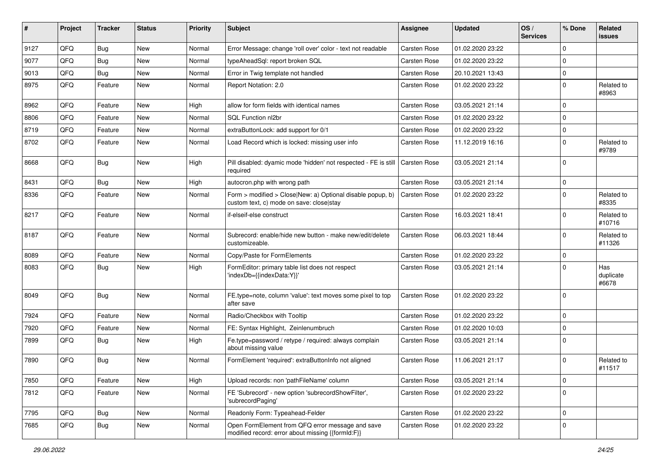| #    | Project | <b>Tracker</b> | <b>Status</b> | <b>Priority</b> | Subject                                                                                                | Assignee            | <b>Updated</b>   | OS/<br><b>Services</b> | % Done      | Related<br><b>issues</b>  |
|------|---------|----------------|---------------|-----------------|--------------------------------------------------------------------------------------------------------|---------------------|------------------|------------------------|-------------|---------------------------|
| 9127 | QFQ     | Bug            | <b>New</b>    | Normal          | Error Message: change 'roll over' color - text not readable                                            | <b>Carsten Rose</b> | 01.02.2020 23:22 |                        | $\Omega$    |                           |
| 9077 | QFQ     | <b>Bug</b>     | <b>New</b>    | Normal          | typeAheadSql: report broken SQL                                                                        | <b>Carsten Rose</b> | 01.02.2020 23:22 |                        | $\Omega$    |                           |
| 9013 | QFQ     | <b>Bug</b>     | <b>New</b>    | Normal          | Error in Twig template not handled                                                                     | Carsten Rose        | 20.10.2021 13:43 |                        | $\Omega$    |                           |
| 8975 | QFQ     | Feature        | <b>New</b>    | Normal          | Report Notation: 2.0                                                                                   | Carsten Rose        | 01.02.2020 23:22 |                        | $\Omega$    | Related to<br>#8963       |
| 8962 | QFQ     | Feature        | <b>New</b>    | High            | allow for form fields with identical names                                                             | <b>Carsten Rose</b> | 03.05.2021 21:14 |                        | $\Omega$    |                           |
| 8806 | QFQ     | Feature        | <b>New</b>    | Normal          | SQL Function nl2br                                                                                     | <b>Carsten Rose</b> | 01.02.2020 23:22 |                        | $\mathbf 0$ |                           |
| 8719 | QFQ     | Feature        | <b>New</b>    | Normal          | extraButtonLock: add support for 0/1                                                                   | Carsten Rose        | 01.02.2020 23:22 |                        | $\Omega$    |                           |
| 8702 | QFQ     | Feature        | New           | Normal          | Load Record which is locked: missing user info                                                         | <b>Carsten Rose</b> | 11.12.2019 16:16 |                        | 0           | Related to<br>#9789       |
| 8668 | QFQ     | Bug            | New           | High            | Pill disabled: dyamic mode 'hidden' not respected - FE is still<br>required                            | <b>Carsten Rose</b> | 03.05.2021 21:14 |                        | $\Omega$    |                           |
| 8431 | QFQ     | Bug            | <b>New</b>    | High            | autocron.php with wrong path                                                                           | <b>Carsten Rose</b> | 03.05.2021 21:14 |                        | 0           |                           |
| 8336 | QFQ     | Feature        | New           | Normal          | Form > modified > Close New: a) Optional disable popup, b)<br>custom text, c) mode on save: closelstay | <b>Carsten Rose</b> | 01.02.2020 23:22 |                        | $\Omega$    | Related to<br>#8335       |
| 8217 | QFQ     | Feature        | <b>New</b>    | Normal          | if-elseif-else construct                                                                               | Carsten Rose        | 16.03.2021 18:41 |                        | $\Omega$    | Related to<br>#10716      |
| 8187 | QFQ     | Feature        | <b>New</b>    | Normal          | Subrecord: enable/hide new button - make new/edit/delete<br>customizeable.                             | <b>Carsten Rose</b> | 06.03.2021 18:44 |                        | $\Omega$    | Related to<br>#11326      |
| 8089 | QFQ     | Feature        | <b>New</b>    | Normal          | Copy/Paste for FormElements                                                                            | <b>Carsten Rose</b> | 01.02.2020 23:22 |                        | $\Omega$    |                           |
| 8083 | QFQ     | Bug            | <b>New</b>    | High            | FormEditor: primary table list does not respect<br>'indexDb={{indexData:Y}}'                           | Carsten Rose        | 03.05.2021 21:14 |                        | $\Omega$    | Has<br>duplicate<br>#6678 |
| 8049 | QFQ     | Bug            | <b>New</b>    | Normal          | FE.type=note, column 'value': text moves some pixel to top<br>after save                               | <b>Carsten Rose</b> | 01.02.2020 23:22 |                        | $\Omega$    |                           |
| 7924 | QFQ     | Feature        | <b>New</b>    | Normal          | Radio/Checkbox with Tooltip                                                                            | Carsten Rose        | 01.02.2020 23:22 |                        | $\Omega$    |                           |
| 7920 | QFQ     | Feature        | New           | Normal          | FE: Syntax Highlight, Zeinlenumbruch                                                                   | Carsten Rose        | 01.02.2020 10:03 |                        | $\Omega$    |                           |
| 7899 | QFQ     | Bug            | <b>New</b>    | High            | Fe.type=password / retype / required: always complain<br>about missing value                           | Carsten Rose        | 03.05.2021 21:14 |                        | $\mathbf 0$ |                           |
| 7890 | QFQ     | Bug            | New           | Normal          | FormElement 'required': extraButtonInfo not aligned                                                    | <b>Carsten Rose</b> | 11.06.2021 21:17 |                        | $\Omega$    | Related to<br>#11517      |
| 7850 | QFQ     | Feature        | New           | High            | Upload records: non 'pathFileName' column                                                              | Carsten Rose        | 03.05.2021 21:14 |                        | $\mathbf 0$ |                           |
| 7812 | QFQ     | Feature        | New           | Normal          | FE 'Subrecord' - new option 'subrecordShowFilter',<br>'subrecordPaging'                                | Carsten Rose        | 01.02.2020 23:22 |                        | $\mathbf 0$ |                           |
| 7795 | QFQ     | Bug            | <b>New</b>    | Normal          | Readonly Form: Typeahead-Felder                                                                        | Carsten Rose        | 01.02.2020 23:22 |                        | 0           |                           |
| 7685 | QFQ     | <b>Bug</b>     | New           | Normal          | Open FormElement from QFQ error message and save<br>modified record: error about missing {{formId:F}}  | Carsten Rose        | 01.02.2020 23:22 |                        | $\mathbf 0$ |                           |